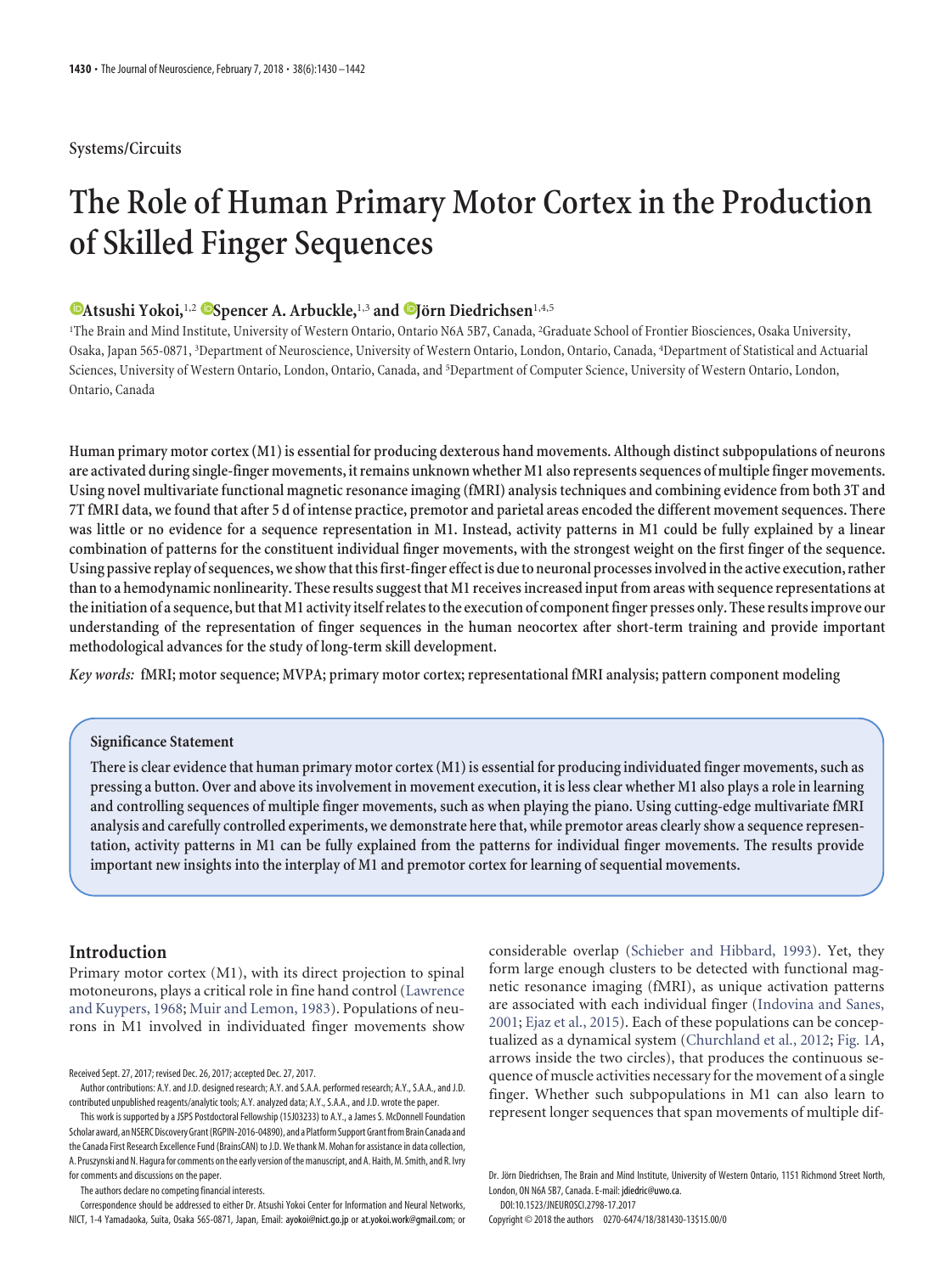# **Systems/Circuits**

# **The Role of Human Primary Motor Cortex in the Production of Skilled Finger Sequences**

# **Example 1.2 Expencer A. Arbuckle,**<sup>1,3</sup> and **C**Jörn Diedrichsen<sup>1,4,5</sup>

<sup>1</sup>The Brain and Mind Institute, University of Western Ontario, Ontario N6A 5B7, Canada, <sup>2</sup>Graduate School of Frontier Biosciences, Osaka University, Osaka, Japan 565-0871, <sup>3</sup> Department of Neuroscience, University of Western Ontario, London, Ontario, Canada, <sup>4</sup> Department of Statistical and Actuarial Sciences, University of Western Ontario, London, Ontario, Canada, and <sup>5</sup>Department of Computer Science, University of Western Ontario, London, Ontario, Canada

**Human primary motor cortex (M1) is essential for producing dexterous hand movements. Although distinct subpopulations of neurons are activated during single-finger movements, it remains unknown whether M1 also represents sequences of multiple finger movements. Using novel multivariate functional magnetic resonance imaging (fMRI) analysis techniques and combining evidence from both 3T and 7T fMRI data, we found that after 5 d of intense practice, premotor and parietal areas encoded the different movement sequences. There was little or no evidence for a sequence representation in M1. Instead, activity patterns in M1 could be fully explained by a linear combination of patterns for the constituent individual finger movements, with the strongest weight on the first finger of the sequence. Using passive replay of sequences, we showthatthisfirst-finger effect is dueto neuronal processes involved inthe active execution, rather than to a hemodynamic nonlinearity. These results suggest that M1 receives increased input from areas with sequence representations at the initiation of a sequence, butthat M1 activity itself relatestothe execution of componentfinger presses only. These results improve our understanding of the representation of finger sequences in the human neocortex after short-term training and provide important methodological advances for the study of long-term skill development.**

*Key words:* **fMRI; motor sequence; MVPA; primary motor cortex; representational fMRI analysis; pattern component modeling**

## **Significance Statement**

**There is clear evidence that human primary motor cortex (M1) is essential for producing individuated finger movements, such as pressing a button. Over and above its involvement in movement execution, it is less clear whether M1 also plays a role in learning and controlling sequences of multiple finger movements, such as when playing the piano. Using cutting-edge multivariate fMRI analysis and carefully controlled experiments, we demonstrate here that, while premotor areas clearly show a sequence representation, activity patterns in M1 can be fully explained from the patterns for individual finger movements. The results provide important new insights into the interplay of M1 and premotor cortex for learning of sequential movements.**

# **Introduction**

Primary motor cortex (M1), with its direct projection to spinal motoneurons, plays a critical role in fine hand control [\(Lawrence](#page-12-0) [and Kuypers, 1968;](#page-12-0) [Muir and Lemon, 1983\)](#page-12-1). Populations of neurons in M1 involved in individuated finger movements show

Received Sept. 27, 2017; revised Dec. 26, 2017; accepted Dec. 27, 2017.

Author contributions: A.Y. and J.D. designed research; A.Y. and S.A.A. performed research; A.Y., S.A.A., and J.D. contributed unpublished reagents/analytic tools; A.Y. analyzed data; A.Y., S.A.A., and J.D. wrote the paper.

This work is supported by a JSPS Postdoctoral Fellowship (15J03233) to A.Y., a James S. McDonnell Foundation Scholar award, an NSERC Discovery Grant (RGPIN-2016-04890), and a Platform Support Grant from Brain Canada and the Canada First Research Excellence Fund (BrainsCAN) to J.D. We thank M. Mohan for assistance in data collection, A. Pruszynski and N. Hagura for comments on the early version of the manuscript, and A. Haith, M. Smith, and R. Ivry for comments and discussions on the paper.

The authors declare no competing financial interests.

Correspondence should be addressed to either Dr. Atsushi Yokoi Center for Information and Neural Networks, NICT, 1-4 Yamadaoka, Suita, Osaka 565-0871, Japan, Email: ayokoi@nict.go.jp or at.yokoi.work@gmail.com; or considerable overlap [\(Schieber and Hibbard, 1993\)](#page-12-2). Yet, they form large enough clusters to be detected with functional magnetic resonance imaging (fMRI), as unique activation patterns are associated with each individual finger [\(Indovina and Sanes,](#page-11-0) [2001;](#page-11-0) [Ejaz et al., 2015\)](#page-11-1). Each of these populations can be conceptualized as a dynamical system [\(Churchland et al., 2012;](#page-11-2) [Fig. 1](#page-1-0)*A*, arrows inside the two circles), that produces the continuous sequence of muscle activities necessary for the movement of a single finger. Whether such subpopulations in M1 can also learn to represent longer sequences that span movements of multiple dif-

Dr. Jörn Diedrichsen, The Brain and Mind Institute, University of Western Ontario, 1151 Richmond Street North, London, ON N6A 5B7, Canada. E-mail: jdiedric@uwo.ca.

DOI:10.1523/JNEUROSCI.2798-17.2017

Copyright © 2018 the authors 0270-6474/18/381430-13\$15.00/0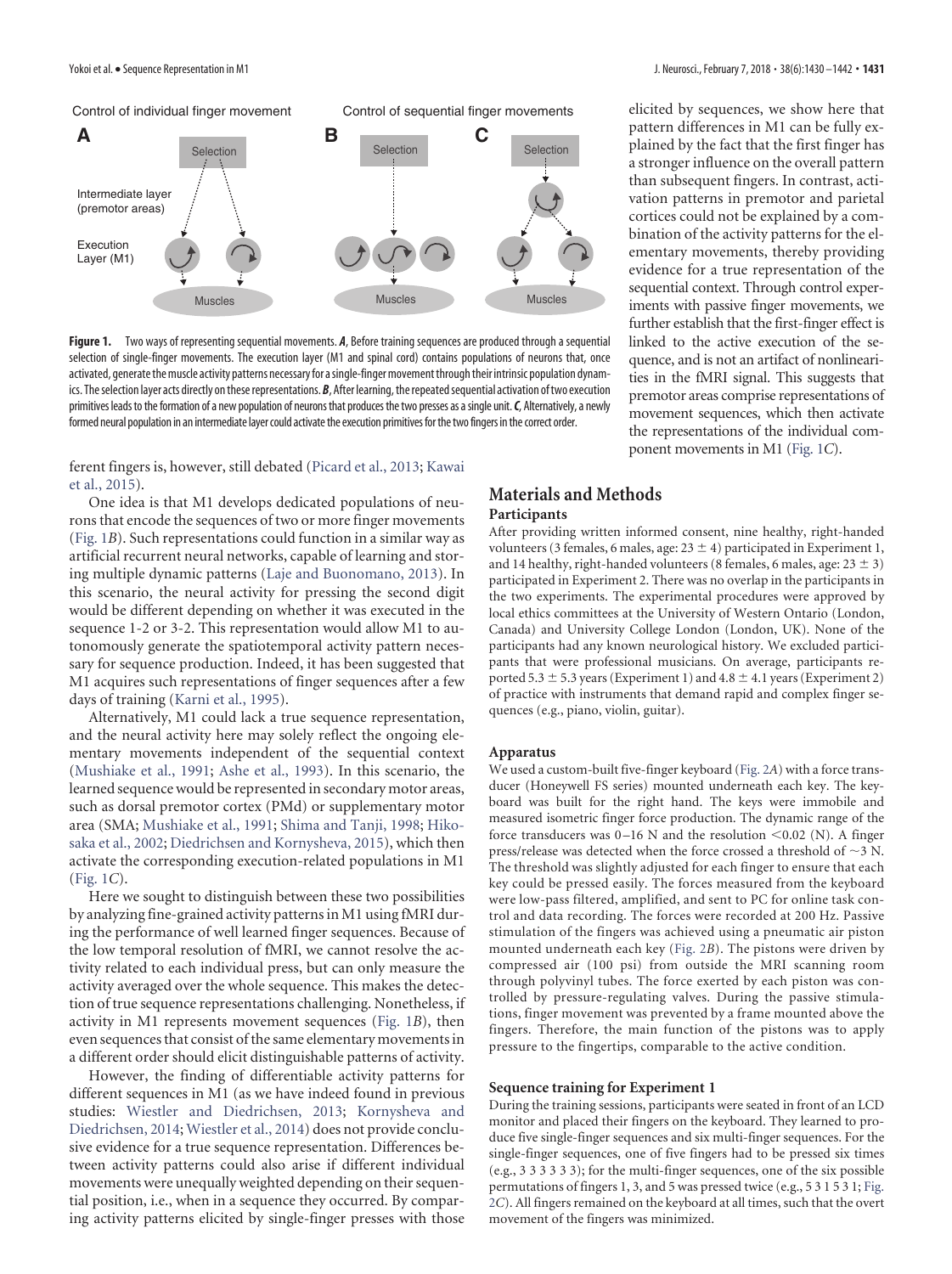

<span id="page-1-0"></span>**Figure 1.** Two ways of representing sequential movements. *A*, Before training sequences are produced through a sequential selection of single-finger movements. The execution layer (M1 and spinal cord) contains populations of neurons that, once activated, generate the muscle activity patterns necessary for a single-finger movement through their intrinsic population dynamics. The selection layer acts directly on these representations. B, After learning, the repeated sequential activation of two execution primitives leads to the formation of a new population of neurons that produces the two presses as asingle unit.*C*, Alternatively, a newly formed neural population in an intermediate layer could activate the execution primitives for the two fingers in the correct order.

ferent fingers is, however, still debated [\(Picard et al., 2013;](#page-12-3) [Kawai](#page-12-4) [et al., 2015\)](#page-12-4).

One idea is that M1 develops dedicated populations of neurons that encode the sequences of two or more finger movements [\(Fig. 1](#page-1-0)*B*). Such representations could function in a similar way as artificial recurrent neural networks, capable of learning and storing multiple dynamic patterns [\(Laje and Buonomano, 2013\)](#page-12-5). In this scenario, the neural activity for pressing the second digit would be different depending on whether it was executed in the sequence 1-2 or 3-2. This representation would allow M1 to autonomously generate the spatiotemporal activity pattern necessary for sequence production. Indeed, it has been suggested that M1 acquires such representations of finger sequences after a few days of training [\(Karni et al., 1995\)](#page-12-6).

Alternatively, M1 could lack a true sequence representation, and the neural activity here may solely reflect the ongoing elementary movements independent of the sequential context [\(Mushiake et al., 1991;](#page-12-7) [Ashe et al., 1993\)](#page-11-3). In this scenario, the learned sequence would be represented in secondary motor areas, such as dorsal premotor cortex (PMd) or supplementary motor area (SMA; [Mushiake et al., 1991;](#page-12-7) [Shima and Tanji, 1998;](#page-12-8) [Hiko](#page-11-4)[saka et al., 2002;](#page-11-4) [Diedrichsen and Kornysheva, 2015\)](#page-11-5), which then activate the corresponding execution-related populations in M1 [\(Fig. 1](#page-1-0)*C*).

Here we sought to distinguish between these two possibilities by analyzing fine-grained activity patterns in M1 using fMRI during the performance of well learned finger sequences. Because of the low temporal resolution of fMRI, we cannot resolve the activity related to each individual press, but can only measure the activity averaged over the whole sequence. This makes the detection of true sequence representations challenging. Nonetheless, if activity in M1 represents movement sequences [\(Fig. 1](#page-1-0)*B*), then even sequences that consist of the same elementary movements in a different order should elicit distinguishable patterns of activity.

However, the finding of differentiable activity patterns for different sequences in M1 (as we have indeed found in previous studies: [Wiestler and Diedrichsen, 2013;](#page-12-9) [Kornysheva and](#page-12-10) [Diedrichsen, 2014;](#page-12-10) [Wiestler et al., 2014\)](#page-12-11) does not provide conclusive evidence for a true sequence representation. Differences between activity patterns could also arise if different individual movements were unequally weighted depending on their sequential position, i.e., when in a sequence they occurred. By comparing activity patterns elicited by single-finger presses with those

elicited by sequences, we show here that pattern differences in M1 can be fully explained by the fact that the first finger has a stronger influence on the overall pattern than subsequent fingers. In contrast, activation patterns in premotor and parietal cortices could not be explained by a combination of the activity patterns for the elementary movements, thereby providing evidence for a true representation of the sequential context. Through control experiments with passive finger movements, we further establish that the first-finger effect is linked to the active execution of the sequence, and is not an artifact of nonlinearities in the fMRI signal. This suggests that premotor areas comprise representations of movement sequences, which then activate the representations of the individual component movements in M1 [\(Fig. 1](#page-1-0)*C*).

# **Materials and Methods Participants**

After providing written informed consent, nine healthy, right-handed volunteers (3 females, 6 males, age:  $23 \pm 4$ ) participated in Experiment 1, and 14 healthy, right-handed volunteers (8 females, 6 males, age:  $23 \pm 3$ ) participated in Experiment 2. There was no overlap in the participants in the two experiments. The experimental procedures were approved by local ethics committees at the University of Western Ontario (London, Canada) and University College London (London, UK). None of the participants had any known neurological history. We excluded participants that were professional musicians. On average, participants reported  $5.3 \pm 5.3$  years (Experiment 1) and  $4.8 \pm 4.1$  years (Experiment 2) of practice with instruments that demand rapid and complex finger sequences (e.g., piano, violin, guitar).

#### **Apparatus**

We used a custom-built five-finger keyboard [\(Fig. 2](#page-2-0)*A*) with a force transducer (Honeywell FS series) mounted underneath each key. The keyboard was built for the right hand. The keys were immobile and measured isometric finger force production. The dynamic range of the force transducers was  $0-16$  N and the resolution  $\leq 0.02$  (N). A finger press/release was detected when the force crossed a threshold of  $\sim$ 3 N. The threshold was slightly adjusted for each finger to ensure that each key could be pressed easily. The forces measured from the keyboard were low-pass filtered, amplified, and sent to PC for online task control and data recording. The forces were recorded at 200 Hz. Passive stimulation of the fingers was achieved using a pneumatic air piston mounted underneath each key [\(Fig. 2](#page-2-0)*B*). The pistons were driven by compressed air (100 psi) from outside the MRI scanning room through polyvinyl tubes. The force exerted by each piston was controlled by pressure-regulating valves. During the passive stimulations, finger movement was prevented by a frame mounted above the fingers. Therefore, the main function of the pistons was to apply pressure to the fingertips, comparable to the active condition.

## **Sequence training for Experiment 1**

During the training sessions, participants were seated in front of an LCD monitor and placed their fingers on the keyboard. They learned to produce five single-finger sequences and six multi-finger sequences. For the single-finger sequences, one of five fingers had to be pressed six times (e.g., 3 3 3 3 3 3); for the multi-finger sequences, one of the six possible permutations of fingers 1, 3, and 5 was pressed twice (e.g., 5 3 1 5 3 1; [Fig.](#page-2-0) [2](#page-2-0)*C*). All fingers remained on the keyboard at all times, such that the overt movement of the fingers was minimized.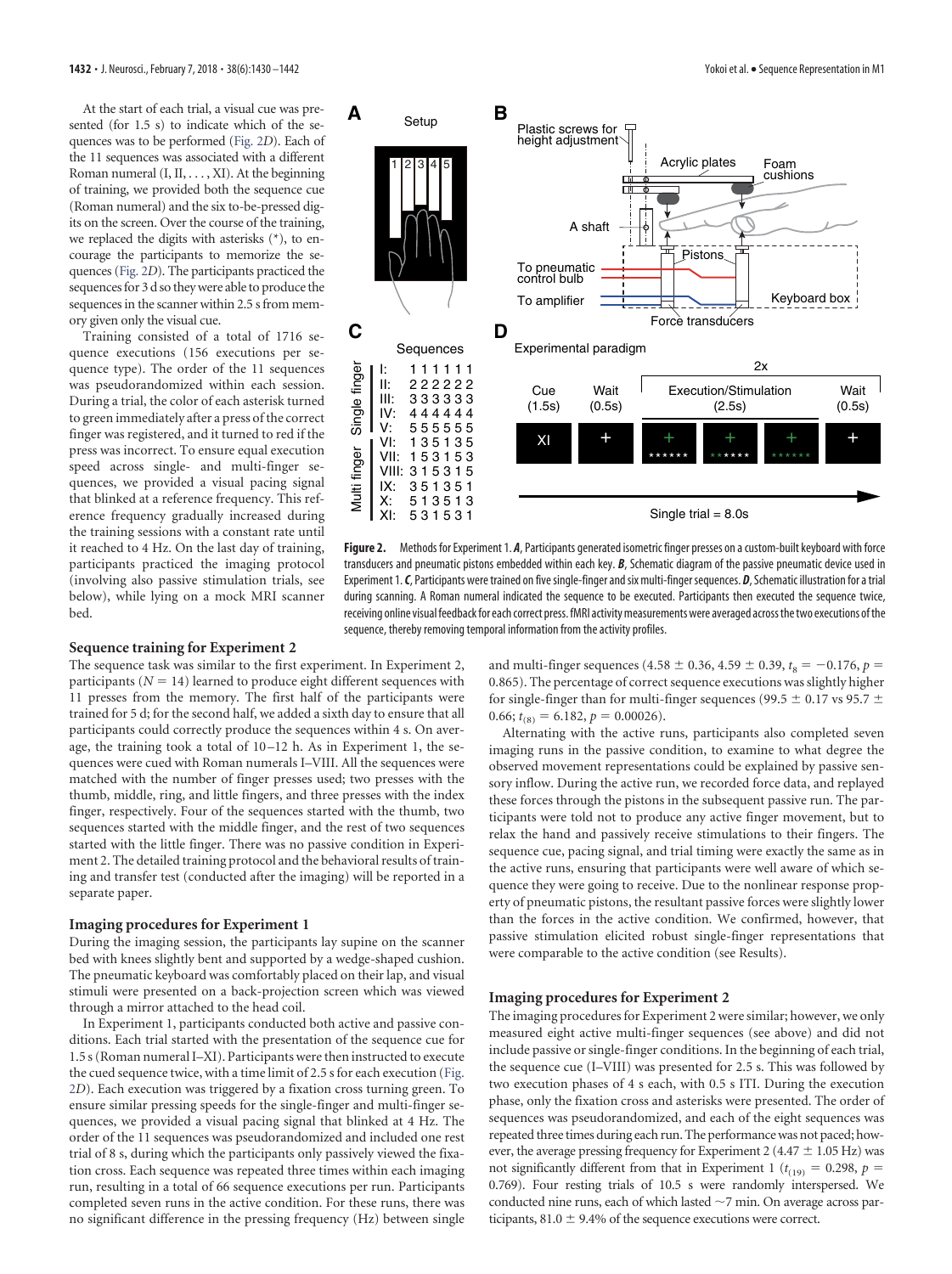At the start of each trial, a visual cue was presented (for 1.5 s) to indicate which of the sequences was to be performed [\(Fig. 2](#page-2-0)*D*). Each of the 11 sequences was associated with a different Roman numeral  $(I, II, \ldots, XI)$ . At the beginning of training, we provided both the sequence cue (Roman numeral) and the six to-be-pressed digits on the screen. Over the course of the training, we replaced the digits with asterisks (\*), to encourage the participants to memorize the sequences [\(Fig. 2](#page-2-0)*D*). The participants practiced the sequences for 3 d so they were able to produce the sequences in the scanner within 2.5 s from memory given only the visual cue.

Training consisted of a total of 1716 sequence executions (156 executions per sequence type). The order of the 11 sequences was pseudorandomized within each session. During a trial, the color of each asterisk turned to green immediately after a press of the correct finger was registered, and it turned to red if the press was incorrect. To ensure equal execution speed across single- and multi-finger sequences, we provided a visual pacing signal that blinked at a reference frequency. This reference frequency gradually increased during the training sessions with a constant rate until it reached to 4 Hz. On the last day of training, participants practiced the imaging protocol (involving also passive stimulation trials, see below), while lying on a mock MRI scanner bed.

#### **Sequence training for Experiment 2**

The sequence task was similar to the first experiment. In Experiment 2, participants  $(N = 14)$  learned to produce eight different sequences with 11 presses from the memory. The first half of the participants were trained for 5 d; for the second half, we added a sixth day to ensure that all participants could correctly produce the sequences within 4 s. On average, the training took a total of 10 –12 h. As in Experiment 1, the sequences were cued with Roman numerals I–VIII. All the sequences were matched with the number of finger presses used; two presses with the thumb, middle, ring, and little fingers, and three presses with the index finger, respectively. Four of the sequences started with the thumb, two sequences started with the middle finger, and the rest of two sequences started with the little finger. There was no passive condition in Experiment 2. The detailed training protocol and the behavioral results of training and transfer test (conducted after the imaging) will be reported in a separate paper.

#### **Imaging procedures for Experiment 1**

During the imaging session, the participants lay supine on the scanner bed with knees slightly bent and supported by a wedge-shaped cushion. The pneumatic keyboard was comfortably placed on their lap, and visual stimuli were presented on a back-projection screen which was viewed through a mirror attached to the head coil.

In Experiment 1, participants conducted both active and passive conditions. Each trial started with the presentation of the sequence cue for 1.5 s (Roman numeral I–XI). Participants were then instructed to execute the cued sequence twice, with a time limit of 2.5 s for each execution [\(Fig.](#page-2-0) [2](#page-2-0)*D*). Each execution was triggered by a fixation cross turning green. To ensure similar pressing speeds for the single-finger and multi-finger sequences, we provided a visual pacing signal that blinked at 4 Hz. The order of the 11 sequences was pseudorandomized and included one rest trial of 8 s, during which the participants only passively viewed the fixation cross. Each sequence was repeated three times within each imaging run, resulting in a total of 66 sequence executions per run. Participants completed seven runs in the active condition. For these runs, there was no significant difference in the pressing frequency (Hz) between single

and multi-finger sequences (4.58  $\pm$  0.36, 4.59  $\pm$  0.39,  $t_8 = -0.176$ ,  $p =$ 0.865). The percentage of correct sequence executions was slightly higher for single-finger than for multi-finger sequences (99.5  $\pm$  0.17 vs 95.7  $\pm$ 0.66;  $t_{(8)} = 6.182$ ,  $p = 0.00026$ .

Alternating with the active runs, participants also completed seven imaging runs in the passive condition, to examine to what degree the observed movement representations could be explained by passive sensory inflow. During the active run, we recorded force data, and replayed these forces through the pistons in the subsequent passive run. The participants were told not to produce any active finger movement, but to relax the hand and passively receive stimulations to their fingers. The sequence cue, pacing signal, and trial timing were exactly the same as in the active runs, ensuring that participants were well aware of which sequence they were going to receive. Due to the nonlinear response property of pneumatic pistons, the resultant passive forces were slightly lower than the forces in the active condition. We confirmed, however, that passive stimulation elicited robust single-finger representations that were comparable to the active condition (see Results).

## **Imaging procedures for Experiment 2**

The imaging procedures for Experiment 2 were similar; however, we only measured eight active multi-finger sequences (see above) and did not include passive or single-finger conditions. In the beginning of each trial, the sequence cue (I–VIII) was presented for 2.5 s. This was followed by two execution phases of 4 s each, with 0.5 s ITI. During the execution phase, only the fixation cross and asterisks were presented. The order of sequences was pseudorandomized, and each of the eight sequences was repeated three times during each run. The performance was not paced; however, the average pressing frequency for Experiment 2 (4.47  $\pm$  1.05 Hz) was not significantly different from that in Experiment 1 ( $t_{(19)} = 0.298$ ,  $p =$ 0.769). Four resting trials of 10.5 s were randomly interspersed. We conducted nine runs, each of which lasted  $\sim$  7 min. On average across participants,  $81.0 \pm 9.4\%$  of the sequence executions were correct.



<span id="page-2-0"></span>**Figure 2.** Methods for Experiment 1. *A*, Participants generated isometric finger presses on a custom-built keyboard with force transducers and pneumatic pistons embedded within each key. *B*, Schematic diagram of the passive pneumatic device used in Experiment 1.*C*, Participants were trained on fivesingle-finger andsix multi-fingersequences. *D*, Schematic illustration for a trial during scanning. A Roman numeral indicated the sequence to be executed. Participants then executed the sequence twice, receiving online visual feedback for each correct press. fMRI activity measurements were averaged across the two executions of the

sequence, thereby removing temporal information from the activity profiles.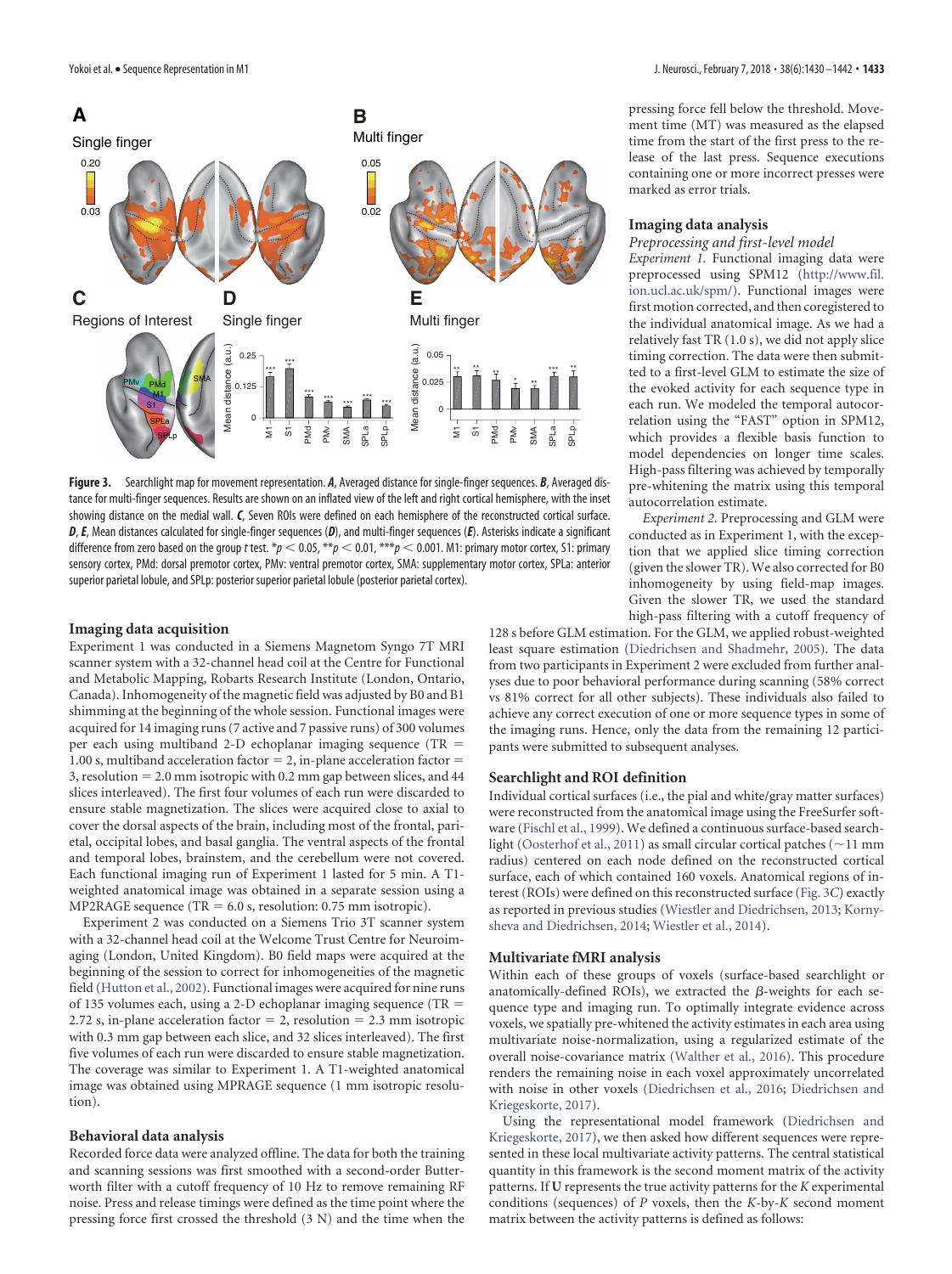

<span id="page-3-0"></span>**Figure 3.** Searchlight map for movement representation. *A*, Averaged distance for single-finger sequences. *B*, Averaged distance for multi-finger sequences. Results are shown on an inflated view of the left and right cortical hemisphere, with the inset showing distance on the medial wall. *C*, Seven ROIs were defined on each hemisphere of the reconstructed cortical surface. *D*, *E*, Mean distances calculated for single-finger sequences (*D*), and multi-finger sequences (*E*). Asterisks indicate a significant difference from zero based on the group t test.  $*p < 0.05$ ,  $**p < 0.01$ ,  $***p < 0.001$ . M1: primary motor cortex, S1: primary sensory cortex, PMd: dorsal premotor cortex, PMv: ventral premotor cortex, SMA: supplementary motor cortex, SPLa: anterior superior parietal lobule, and SPLp: posterior superior parietal lobule (posterior parietal cortex).

### **Imaging data acquisition**

Experiment 1 was conducted in a Siemens Magnetom Syngo 7T MRI scanner system with a 32-channel head coil at the Centre for Functional and Metabolic Mapping, Robarts Research Institute (London, Ontario, Canada). Inhomogeneity of the magnetic field was adjusted by B0 and B1 shimming at the beginning of the whole session. Functional images were acquired for 14 imaging runs (7 active and 7 passive runs) of 300 volumes per each using multiband 2-D echoplanar imaging sequence (TR 1.00 s, multiband acceleration factor  $= 2$ , in-plane acceleration factor  $=$ 3, resolution  $= 2.0$  mm isotropic with 0.2 mm gap between slices, and 44 slices interleaved). The first four volumes of each run were discarded to ensure stable magnetization. The slices were acquired close to axial to cover the dorsal aspects of the brain, including most of the frontal, parietal, occipital lobes, and basal ganglia. The ventral aspects of the frontal and temporal lobes, brainstem, and the cerebellum were not covered. Each functional imaging run of Experiment 1 lasted for 5 min. A T1 weighted anatomical image was obtained in a separate session using a MP2RAGE sequence (TR =  $6.0$  s, resolution: 0.75 mm isotropic).

Experiment 2 was conducted on a Siemens Trio 3T scanner system with a 32-channel head coil at the Welcome Trust Centre for Neuroimaging (London, United Kingdom). B0 field maps were acquired at the beginning of the session to correct for inhomogeneities of the magnetic field [\(Hutton et al., 2002\)](#page-11-6). Functional images were acquired for nine runs of 135 volumes each, using a 2-D echoplanar imaging sequence (TR 2.72 s, in-plane acceleration factor  $= 2$ , resolution  $= 2.3$  mm isotropic with 0.3 mm gap between each slice, and 32 slices interleaved). The first five volumes of each run were discarded to ensure stable magnetization. The coverage was similar to Experiment 1. A T1-weighted anatomical image was obtained using MPRAGE sequence (1 mm isotropic resolution).

### **Behavioral data analysis**

Recorded force data were analyzed offline. The data for both the training and scanning sessions was first smoothed with a second-order Butterworth filter with a cutoff frequency of 10 Hz to remove remaining RF noise. Press and release timings were defined as the time point where the pressing force first crossed the threshold (3 N) and the time when the pressing force fell below the threshold. Movement time (MT) was measured as the elapsed time from the start of the first press to the release of the last press. Sequence executions containing one or more incorrect presses were marked as error trials.

## **Imaging data analysis**

#### *Preprocessing and first-level model*

*Experiment 1.* Functional imaging data were preprocessed using SPM12 (http://www.fil. ion.ucl.ac.uk/spm/). Functional images were first motion corrected, and then coregistered to the individual anatomical image. As we had a relatively fast TR (1.0 s), we did not apply slice timing correction. The data were then submitted to a first-level GLM to estimate the size of the evoked activity for each sequence type in each run. We modeled the temporal autocorrelation using the "FAST" option in SPM12, which provides a flexible basis function to model dependencies on longer time scales. High-pass filtering was achieved by temporally pre-whitening the matrix using this temporal autocorrelation estimate.

*Experiment 2.* Preprocessing and GLM were conducted as in Experiment 1, with the exception that we applied slice timing correction (given the slower TR). We also corrected for B0 inhomogeneity by using field-map images. Given the slower TR, we used the standard high-pass filtering with a cutoff frequency of

128 s before GLM estimation. For the GLM, we applied robust-weighted least square estimation [\(Diedrichsen and Shadmehr, 2005\)](#page-11-7). The data from two participants in Experiment 2 were excluded from further analyses due to poor behavioral performance during scanning (58% correct vs 81% correct for all other subjects). These individuals also failed to achieve any correct execution of one or more sequence types in some of the imaging runs. Hence, only the data from the remaining 12 participants were submitted to subsequent analyses.

## **Searchlight and ROI definition**

Individual cortical surfaces (i.e., the pial and white/gray matter surfaces) were reconstructed from the anatomical image using the FreeSurfer software [\(Fischl et al., 1999\)](#page-11-8). We defined a continuous surface-based search-light [\(Oosterhof et al., 2011\)](#page-12-12) as small circular cortical patches ( $\sim$ 11 mm radius) centered on each node defined on the reconstructed cortical surface, each of which contained 160 voxels. Anatomical regions of interest (ROIs) were defined on this reconstructed surface [\(Fig. 3](#page-3-0)*C*) exactly as reported in previous studies [\(Wiestler and Diedrichsen, 2013;](#page-12-9) [Korny](#page-12-10)[sheva and Diedrichsen, 2014;](#page-12-10) [Wiestler et al., 2014\)](#page-12-11).

#### **Multivariate fMRI analysis**

Within each of these groups of voxels (surface-based searchlight or anatomically-defined ROIs), we extracted the  $\beta$ -weights for each sequence type and imaging run. To optimally integrate evidence across voxels, we spatially pre-whitened the activity estimates in each area using multivariate noise-normalization, using a regularized estimate of the overall noise-covariance matrix [\(Walther et al., 2016\)](#page-12-13). This procedure renders the remaining noise in each voxel approximately uncorrelated with noise in other voxels [\(Diedrichsen et al., 2016;](#page-11-9) [Diedrichsen and](#page-11-10) [Kriegeskorte, 2017\)](#page-11-10).

Using the representational model framework [\(Diedrichsen and](#page-11-10) [Kriegeskorte, 2017\)](#page-11-10), we then asked how different sequences were represented in these local multivariate activity patterns. The central statistical quantity in this framework is the second moment matrix of the activity patterns. If **U** represents the true activity patterns for the *K* experimental conditions (sequences) of *P* voxels, then the *K*-by*-K* second moment matrix between the activity patterns is defined as follows: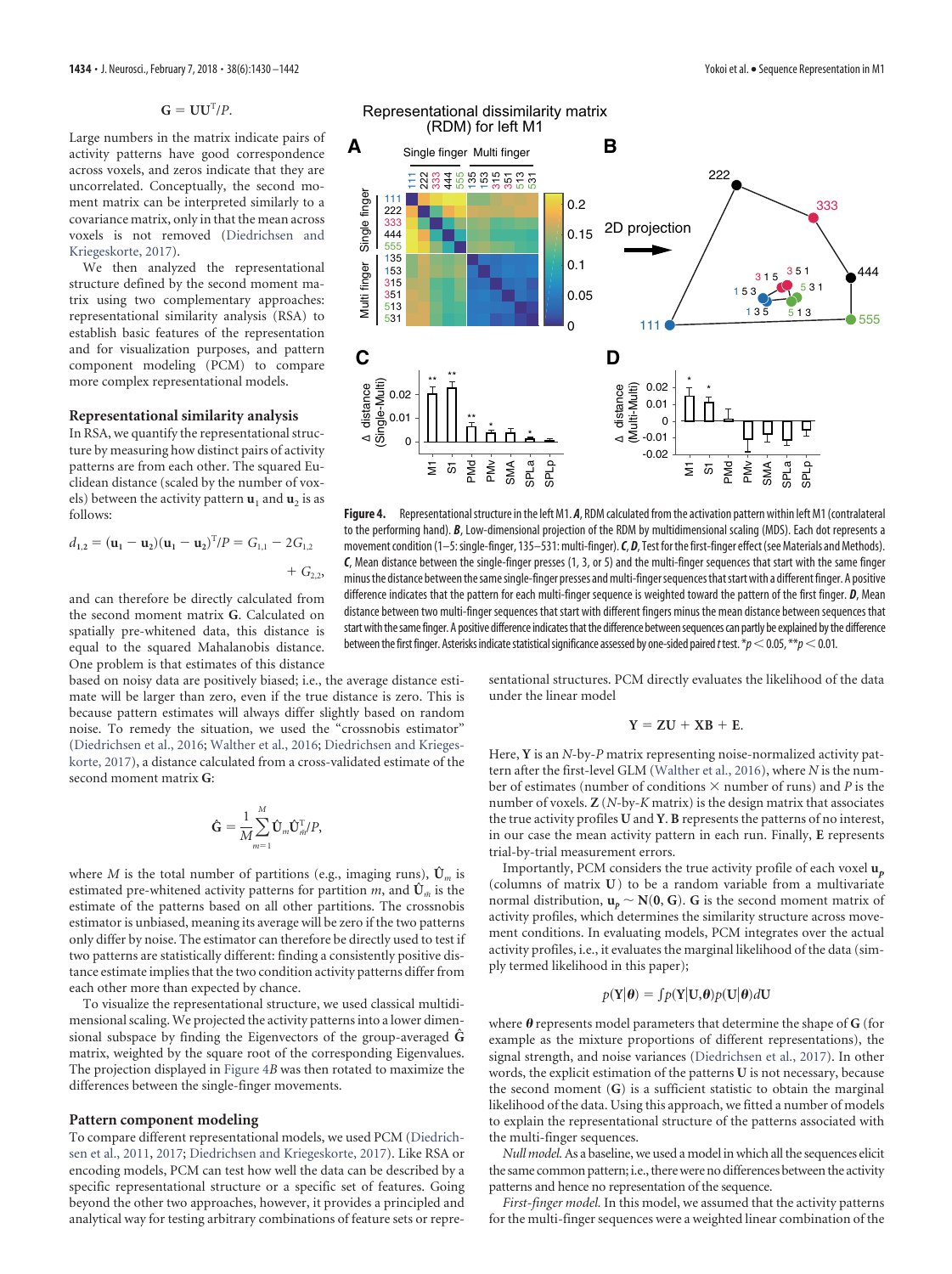$$
\mathbf{G} = \mathbf{U}\mathbf{U}^{\mathrm{T}}/P.
$$

Large numbers in the matrix indicate pairs of activity patterns have good correspondence across voxels, and zeros indicate that they are uncorrelated. Conceptually, the second moment matrix can be interpreted similarly to a covariance matrix, only in that the mean across voxels is not removed [\(Diedrichsen and](#page-11-10) [Kriegeskorte, 2017\)](#page-11-10).

We then analyzed the representational structure defined by the second moment matrix using two complementary approaches: representational similarity analysis (RSA) to establish basic features of the representation and for visualization purposes, and pattern component modeling (PCM) to compare more complex representational models.

#### **Representational similarity analysis**

In RSA, we quantify the representational structure by measuring how distinct pairs of activity patterns are from each other. The squared Euclidean distance (scaled by the number of voxels) between the activity pattern  $\mathbf{u}_1$  and  $\mathbf{u}_2$  is as follows:

$$
d_{1,2} = (\mathbf{u}_1 - \mathbf{u}_2)(\mathbf{u}_1 - \mathbf{u}_2)^T / P = G_{1,1} - 2G_{1,2} + G_{2,2},
$$

and can therefore be directly calculated from the second moment matrix **G**. Calculated on spatially pre-whitened data, this distance is equal to the squared Mahalanobis distance. One problem is that estimates of this distance

based on noisy data are positively biased; i.e., the average distance estimate will be larger than zero, even if the true distance is zero. This is because pattern estimates will always differ slightly based on random noise. To remedy the situation, we used the "crossnobis estimator" [\(Diedrichsen et al., 2016;](#page-11-9) [Walther et al., 2016;](#page-12-13) [Diedrichsen and Krieges](#page-11-10)[korte, 2017\)](#page-11-10), a distance calculated from a cross-validated estimate of the second moment matrix **G**:

$$
\mathbf{\hat{G}} = \frac{1}{M} \sum_{m=1}^{M} \mathbf{\hat{U}}_{m} \mathbf{\hat{U}}_{\tilde{m}}^{T} / P,
$$

where *M* is the total number of partitions (e.g., imaging runs),  $\hat{U}_m$  is estimated pre-whitened activity patterns for partition  $m$ , and  $\hat{\mathbf{U}}_{m}$  is the estimate of the patterns based on all other partitions. The crossnobis estimator is unbiased, meaning its average will be zero if the two patterns only differ by noise. The estimator can therefore be directly used to test if two patterns are statistically different: finding a consistently positive distance estimate implies that the two condition activity patterns differ from each other more than expected by chance.

To visualize the representational structure, we used classical multidimensional scaling. We projected the activity patterns into a lower dimensional subspace by finding the Eigenvectors of the group-averaged **Gˆ** matrix, weighted by the square root of the corresponding Eigenvalues. The projection displayed in [Figure 4](#page-4-0)*B* was then rotated to maximize the differences between the single-finger movements.

## **Pattern component modeling**

To compare different representational models, we used PCM [\(Diedrich](#page-11-11)[sen et al., 2011,](#page-11-11) [2017;](#page-11-12) [Diedrichsen and Kriegeskorte, 2017\)](#page-11-10). Like RSA or encoding models, PCM can test how well the data can be described by a specific representational structure or a specific set of features. Going beyond the other two approaches, however, it provides a principled and analytical way for testing arbitrary combinations of feature sets or repre-

<span id="page-4-0"></span>

sentational structures. PCM directly evaluates the likelihood of the data under the linear model

### $Y = ZU + XB + E$ .

Here, **Y** is an *N*-by-*P* matrix representing noise-normalized activity pattern after the first-level GLM [\(Walther et al., 2016\)](#page-12-13), where *N* is the number of estimates (number of conditions  $\times$  number of runs) and *P* is the number of voxels. **Z** (*N*-by-*K* matrix) is the design matrix that associates the true activity profiles **U** and **Y**. **B** represents the patterns of no interest, in our case the mean activity pattern in each run. Finally, **E** represents trial-by-trial measurement errors.

Importantly, PCM considers the true activity profile of each voxel **u***<sup>p</sup>* (columns of matrix **U**) to be a random variable from a multivariate normal distribution,  $\mathbf{u}_p \sim \mathbf{N}(\mathbf{0}, \mathbf{G})$ . **G** is the second moment matrix of activity profiles, which determines the similarity structure across movement conditions. In evaluating models, PCM integrates over the actual activity profiles, i.e., it evaluates the marginal likelihood of the data (simply termed likelihood in this paper);

#### $p(\mathbf{Y}|\boldsymbol{\theta}) = \int p(\mathbf{Y}|\mathbf{U},\boldsymbol{\theta})p(\mathbf{U}|\boldsymbol{\theta})d\mathbf{U}$

where  $\boldsymbol{\theta}$  represents model parameters that determine the shape of **G** (for example as the mixture proportions of different representations), the signal strength, and noise variances [\(Diedrichsen et al., 2017\)](#page-11-12). In other words, the explicit estimation of the patterns **U** is not necessary, because the second moment (**G**) is a sufficient statistic to obtain the marginal likelihood of the data. Using this approach, we fitted a number of models to explain the representational structure of the patterns associated with the multi-finger sequences.

*Null model.*As a baseline, we used a model in which all the sequences elicit the same common pattern; i.e., there were no differences between the activity patterns and hence no representation of the sequence.

*First-finger model.* In this model, we assumed that the activity patterns for the multi-finger sequences were a weighted linear combination of the



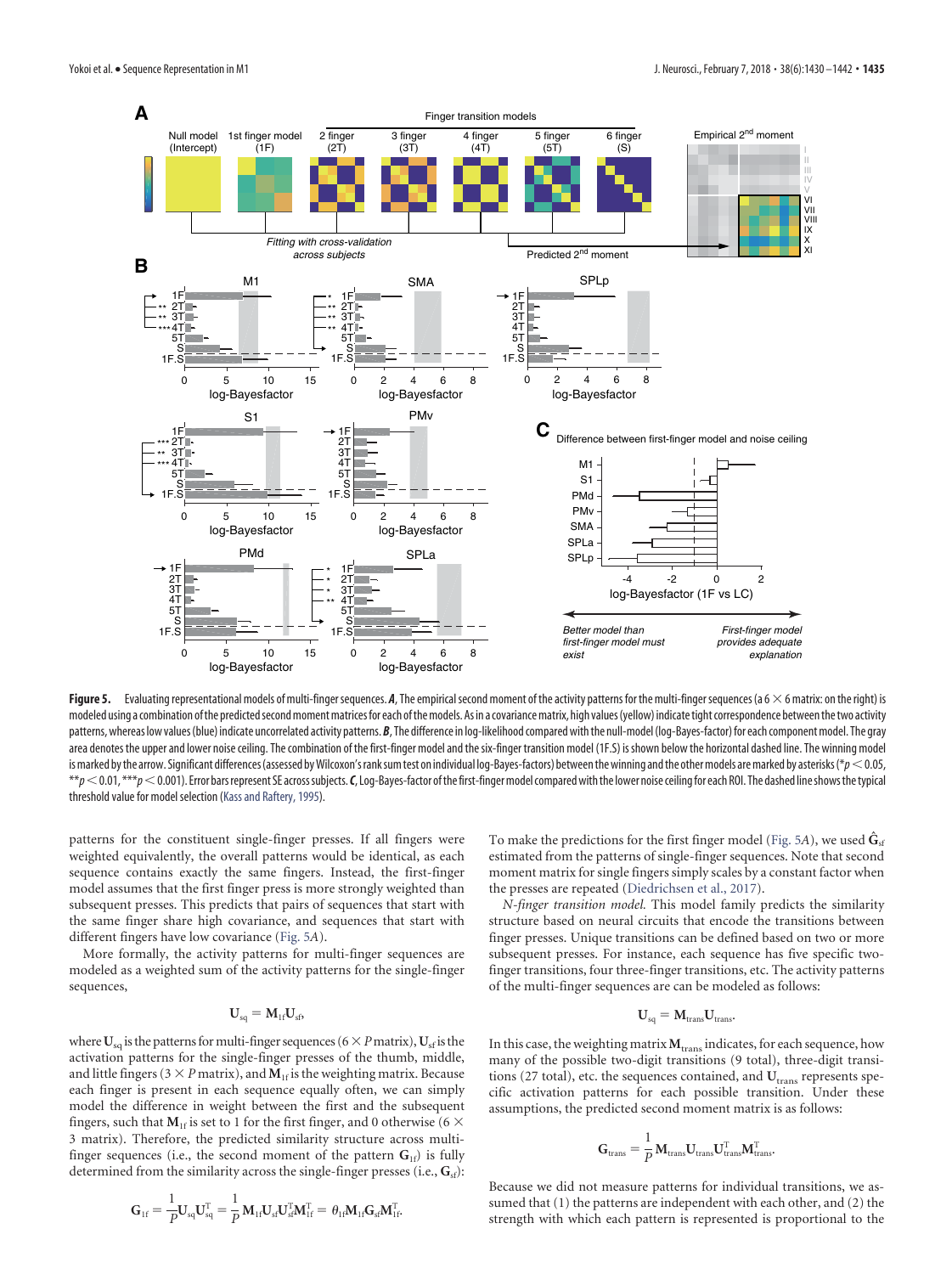

<span id="page-5-0"></span>Figure 5. Evaluating representational models of multi-finger sequences. A, The empirical second moment of the activity patterns for the multi-finger sequences (a 6  $\times$  6 matrix: on the right) is modeled using a combination ofthe predictedsecondmomentmatricesfor each ofthemodels.As in a covariancematrix, high values(yellow) indicatetight correspondence betweenthetwo activity patterns, whereas low values (blue) indicate uncorrelated activity patterns. B, The difference in log-likelihood compared with the null-model (log-Bayes-factor) for each component model. The gray area denotes the upper and lower noise ceiling. The combination of the first-finger model and the six-finger transition model (1F.S) is shown below the horizontal dashed line. The winning model is marked by the arrow. Significant differences (assessed by Wilcoxon's rank sum test on individual log-Bayes-factors) between the winning and the other models are marked by asterisks (\* $p < 0.05$ ,  $^{**}p<$  0.01,  $^{***}p<$  0.001). Error bars represent SE across subjects.  $\boldsymbol{C}$ , Log-Bayes-factor of the first-finger model compared with the lower noise ceiling for each ROI. The dashed line shows the typical threshold value for model selection [\(Kass and Raftery, 1995\)](#page-12-14).

patterns for the constituent single-finger presses. If all fingers were weighted equivalently, the overall patterns would be identical, as each sequence contains exactly the same fingers. Instead, the first-finger model assumes that the first finger press is more strongly weighted than subsequent presses. This predicts that pairs of sequences that start with the same finger share high covariance, and sequences that start with different fingers have low covariance [\(Fig. 5](#page-5-0)*A*).

More formally, the activity patterns for multi-finger sequences are modeled as a weighted sum of the activity patterns for the single-finger sequences,

$$
\mathbf{U}_{\text{sq}} = \mathbf{M}_{\text{lf}} \mathbf{U}_{\text{sf}}
$$

where  $U_{sq}$  is the patterns for multi-finger sequences (6  $\times$  *P* matrix),  $U_{sf}$  is the activation patterns for the single-finger presses of the thumb, middle, and little fingers ( $3 \times P$  matrix), and  $M<sub>1f</sub>$  is the weighting matrix. Because each finger is present in each sequence equally often, we can simply model the difference in weight between the first and the subsequent fingers, such that  $M<sub>1f</sub>$  is set to 1 for the first finger, and 0 otherwise (6  $\times$ 3 matrix). Therefore, the predicted similarity structure across multifinger sequences (i.e., the second moment of the pattern  $\mathbf{G}_{1f}$ ) is fully determined from the similarity across the single-finger presses (i.e.,  $\mathbf{G}_{\text{sf}}$ ):

$$
\mathbf{G}_{1f} = \frac{1}{P} \mathbf{U}_{sq} \mathbf{U}_{sq}^{\mathrm{T}} = \frac{1}{P} \mathbf{M}_{1f} \mathbf{U}_{sf} \mathbf{U}_{sf}^{\mathrm{T}} \mathbf{M}_{1f}^{\mathrm{T}} = \theta_{1f} \mathbf{M}_{1f} \mathbf{G}_{sf} \mathbf{M}_{1f}^{\mathrm{T}}
$$

To make the predictions for the first finger model [\(Fig. 5](#page-5-0)A), we used  $\hat{\mathbf{G}}_{sf}$ estimated from the patterns of single-finger sequences. Note that second moment matrix for single fingers simply scales by a constant factor when the presses are repeated [\(Diedrichsen et al., 2017\)](#page-11-12).

*N-finger transition model.* This model family predicts the similarity structure based on neural circuits that encode the transitions between finger presses. Unique transitions can be defined based on two or more subsequent presses. For instance, each sequence has five specific twofinger transitions, four three-finger transitions, etc. The activity patterns of the multi-finger sequences are can be modeled as follows:

$$
\mathbf{U}_{\text{sq}} = \mathbf{M}_{\text{trans}} \mathbf{U}_{\text{trans}}.
$$

In this case, the weighting matrix  $\mathbf{M}_{\text{trans}}$  indicates, for each sequence, how many of the possible two-digit transitions (9 total), three-digit transitions (27 total), etc. the sequences contained, and  $U_{trans}$  represents specific activation patterns for each possible transition. Under these assumptions, the predicted second moment matrix is as follows:

$$
\mathbf{G}_\text{trans} = \frac{1}{P} \, \mathbf{M}_\text{trans} \mathbf{U}_\text{trans} \mathbf{U}_\text{trans}^\text{T} \mathbf{M}_\text{trans}^\text{T},
$$

Because we did not measure patterns for individual transitions, we assumed that (1) the patterns are independent with each other, and (2) the strength with which each pattern is represented is proportional to the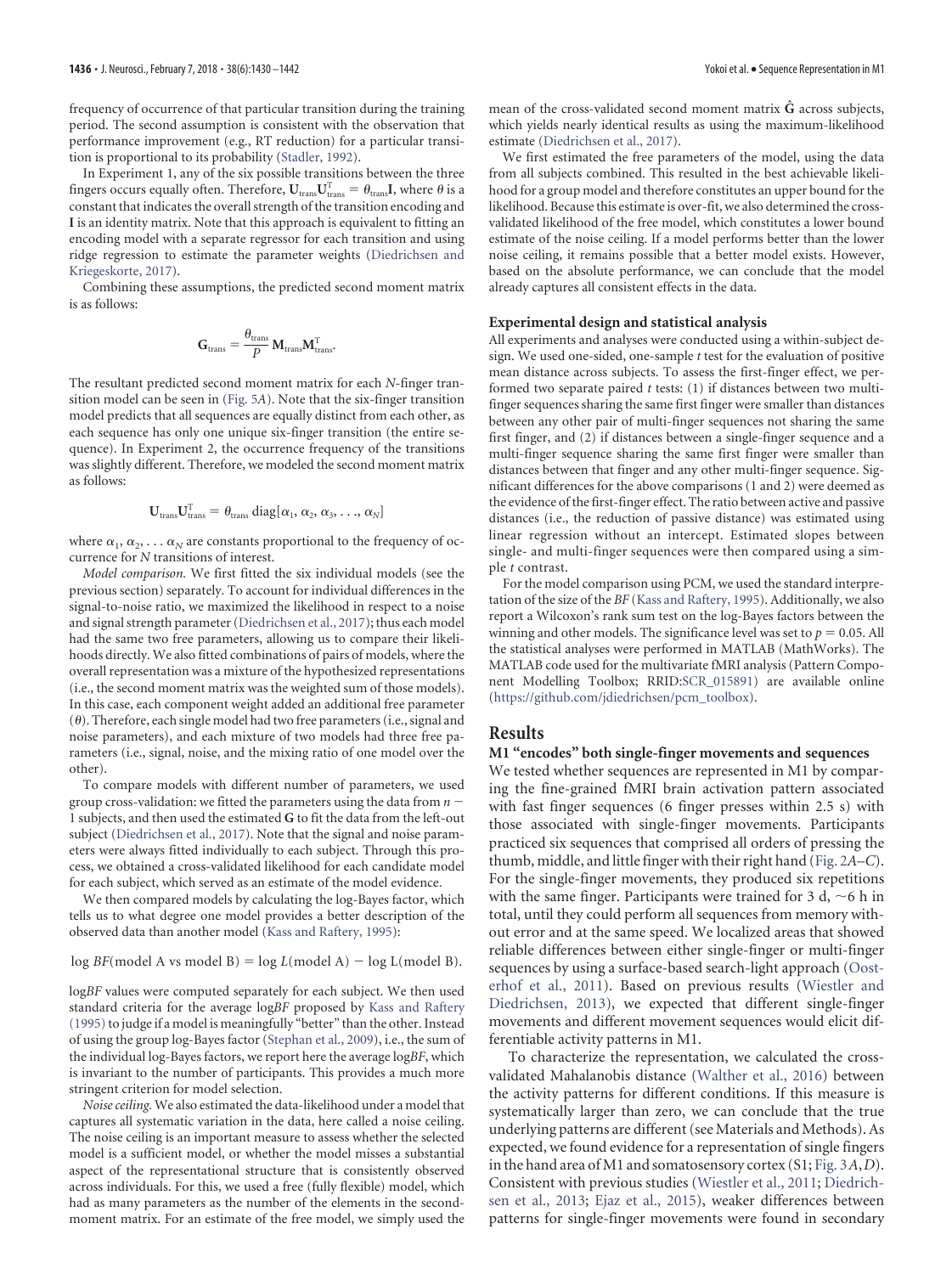frequency of occurrence of that particular transition during the training period. The second assumption is consistent with the observation that performance improvement (e.g., RT reduction) for a particular transition is proportional to its probability [\(Stadler, 1992\)](#page-12-15).

In Experiment 1, any of the six possible transitions between the three fingers occurs equally often. Therefore,  $\mathbf{U}_{\text{trans}}\mathbf{U}_{\text{trans}}^{\text{T}} = \theta_{\text{trans}}\mathbf{I}$ , where  $\theta$  is a constant that indicates the overall strength of the transition encoding and **I** is an identity matrix. Note that this approach is equivalent to fitting an encoding model with a separate regressor for each transition and using ridge regression to estimate the parameter weights [\(Diedrichsen and](#page-11-10) [Kriegeskorte, 2017\)](#page-11-10).

Combining these assumptions, the predicted second moment matrix is as follows:

$$
\mathbf{G}_{\text{trans}} = \frac{\theta_{\text{trans}}}{P} \mathbf{M}_{\text{trans}} \mathbf{M}_{\text{trans}}^{T}.
$$

The resultant predicted second moment matrix for each *N*-finger transition model can be seen in [\(Fig. 5](#page-5-0)*A*). Note that the six-finger transition model predicts that all sequences are equally distinct from each other, as each sequence has only one unique six-finger transition (the entire sequence). In Experiment 2, the occurrence frequency of the transitions was slightly different. Therefore, we modeled the second moment matrix as follows:

$$
\mathbf{U}_{trans}\mathbf{U}_{trans}^{\mathrm{T}} = \theta_{trans} \operatorname{diag}[\alpha_1, \alpha_2, \alpha_3, \ldots, \alpha_N]
$$

where  $\alpha_1, \alpha_2, \ldots, \alpha_N$  are constants proportional to the frequency of occurrence for *N* transitions of interest.

*Model comparison.* We first fitted the six individual models (see the previous section) separately. To account for individual differences in the signal-to-noise ratio, we maximized the likelihood in respect to a noise and signal strength parameter [\(Diedrichsen et al., 2017\)](#page-11-12); thus each model had the same two free parameters, allowing us to compare their likelihoods directly. We also fitted combinations of pairs of models, where the overall representation was a mixture of the hypothesized representations (i.e., the second moment matrix was the weighted sum of those models). In this case, each component weight added an additional free parameter  $(\theta)$ . Therefore, each single model had two free parameters (i.e., signal and noise parameters), and each mixture of two models had three free parameters (i.e., signal, noise, and the mixing ratio of one model over the other).

To compare models with different number of parameters, we used group cross-validation: we fitted the parameters using the data from *n* 1 subjects, and then used the estimated **G** to fit the data from the left-out subject [\(Diedrichsen et al., 2017\)](#page-11-12). Note that the signal and noise parameters were always fitted individually to each subject. Through this process, we obtained a cross-validated likelihood for each candidate model for each subject, which served as an estimate of the model evidence.

We then compared models by calculating the log-Bayes factor, which tells us to what degree one model provides a better description of the observed data than another model [\(Kass and Raftery, 1995\)](#page-12-14):

## $\log BF$ (model A vs model B) =  $\log L$ (model A) -  $\log L$ (model B).

log*BF* values were computed separately for each subject. We then used standard criteria for the average log*BF* proposed by [Kass and Raftery](#page-12-14) [\(1995\)](#page-12-14) to judge if a model is meaningfully "better" than the other. Instead of using the group log-Bayes factor [\(Stephan et al., 2009\)](#page-12-16), i.e., the sum of the individual log-Bayes factors, we report here the average log*BF*, which is invariant to the number of participants. This provides a much more stringent criterion for model selection.

*Noise ceiling.* We also estimated the data-likelihood under a model that captures all systematic variation in the data, here called a noise ceiling. The noise ceiling is an important measure to assess whether the selected model is a sufficient model, or whether the model misses a substantial aspect of the representational structure that is consistently observed across individuals. For this, we used a free (fully flexible) model, which had as many parameters as the number of the elements in the secondmoment matrix. For an estimate of the free model, we simply used the mean of the cross-validated second moment matrix **Gˆ** across subjects, which yields nearly identical results as using the maximum-likelihood estimate [\(Diedrichsen et al., 2017\)](#page-11-12).

We first estimated the free parameters of the model, using the data from all subjects combined. This resulted in the best achievable likelihood for a group model and therefore constitutes an upper bound for the likelihood. Because this estimate is over-fit, we also determined the crossvalidated likelihood of the free model, which constitutes a lower bound estimate of the noise ceiling. If a model performs better than the lower noise ceiling, it remains possible that a better model exists. However, based on the absolute performance, we can conclude that the model already captures all consistent effects in the data.

## **Experimental design and statistical analysis**

All experiments and analyses were conducted using a within-subject design. We used one-sided, one-sample *t* test for the evaluation of positive mean distance across subjects. To assess the first-finger effect, we performed two separate paired *t* tests: (1) if distances between two multifinger sequences sharing the same first finger were smaller than distances between any other pair of multi-finger sequences not sharing the same first finger, and (2) if distances between a single-finger sequence and a multi-finger sequence sharing the same first finger were smaller than distances between that finger and any other multi-finger sequence. Significant differences for the above comparisons (1 and 2) were deemed as the evidence of the first-finger effect. The ratio between active and passive distances (i.e., the reduction of passive distance) was estimated using linear regression without an intercept. Estimated slopes between single- and multi-finger sequences were then compared using a simple *t* contrast.

For the model comparison using PCM, we used the standard interpretation of the size of the *BF* [\(Kass and Raftery, 1995\)](#page-12-14). Additionally, we also report a Wilcoxon's rank sum test on the log-Bayes factors between the winning and other models. The significance level was set to  $p = 0.05$ . All the statistical analyses were performed in MATLAB (MathWorks). The MATLAB code used for the multivariate fMRI analysis (Pattern Component Modelling Toolbox; RRID[:SCR\\_015891\)](https://scicrunch.org/resolver/SCR_015891) are available online (https://github.com/jdiedrichsen/pcm\_toolbox).

# **Results**

# **M1 "encodes" both single-finger movements and sequences**

We tested whether sequences are represented in M1 by comparing the fine-grained fMRI brain activation pattern associated with fast finger sequences (6 finger presses within 2.5 s) with those associated with single-finger movements. Participants practiced six sequences that comprised all orders of pressing the thumb, middle, and little finger with their right hand [\(Fig. 2](#page-2-0)*A*–*C*). For the single-finger movements, they produced six repetitions with the same finger. Participants were trained for 3 d,  $\sim$  6 h in total, until they could perform all sequences from memory without error and at the same speed. We localized areas that showed reliable differences between either single-finger or multi-finger sequences by using a surface-based search-light approach [\(Oost](#page-12-12)[erhof et al., 2011\)](#page-12-12). Based on previous results [\(Wiestler and](#page-12-9) [Diedrichsen, 2013\)](#page-12-9), we expected that different single-finger movements and different movement sequences would elicit differentiable activity patterns in M1.

To characterize the representation, we calculated the crossvalidated Mahalanobis distance [\(Walther et al., 2016\)](#page-12-13) between the activity patterns for different conditions. If this measure is systematically larger than zero, we can conclude that the true underlying patterns are different (see Materials and Methods). As expected, we found evidence for a representation of single fingers in the hand area of M1 and somatosensory cortex (S1; [Fig. 3](#page-3-0)*A*,*D*). Consistent with previous studies [\(Wiestler et al., 2011;](#page-12-17) [Diedrich](#page-11-13)[sen et al., 2013;](#page-11-13) [Ejaz et al., 2015\)](#page-11-1), weaker differences between patterns for single-finger movements were found in secondary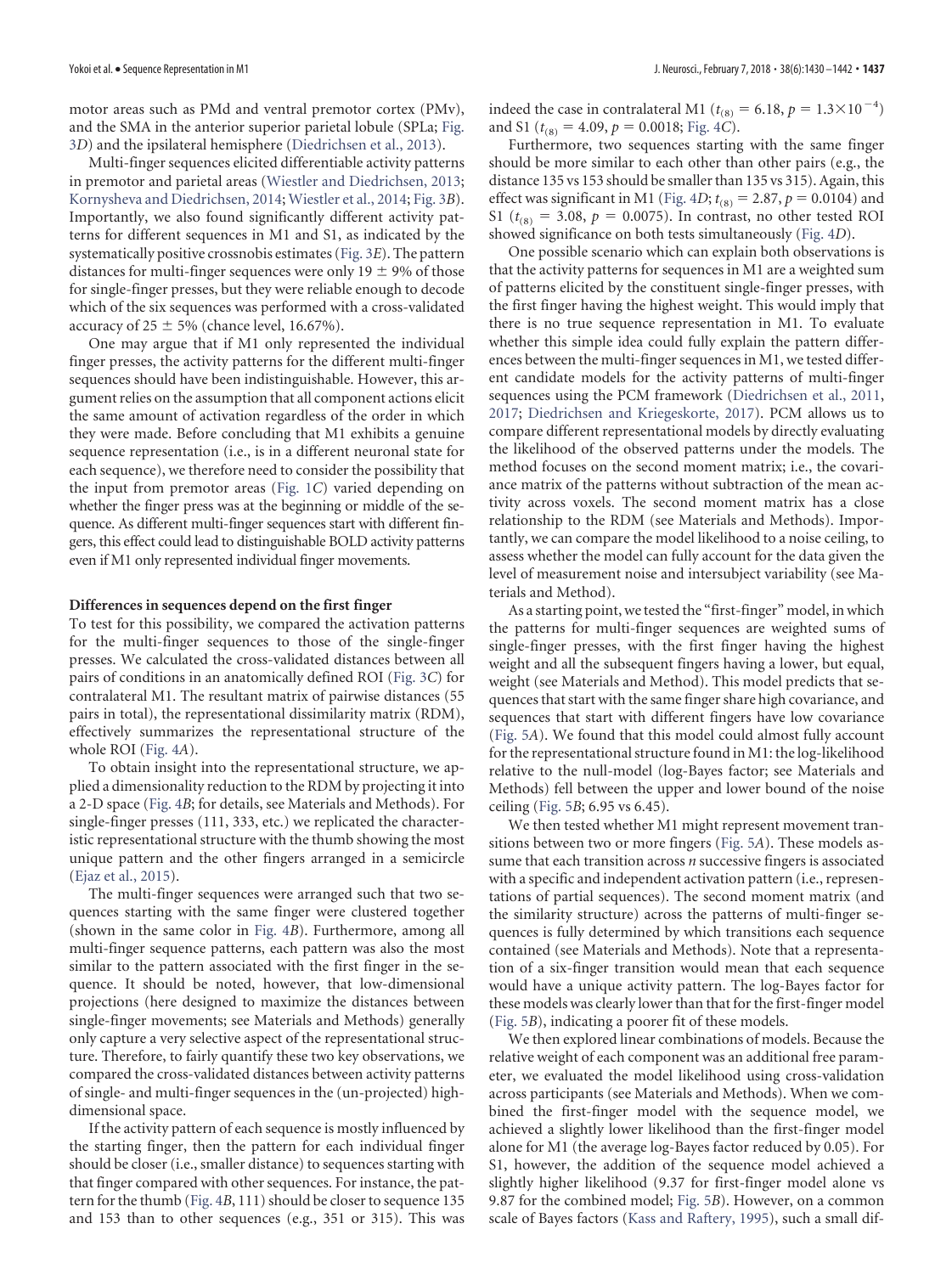motor areas such as PMd and ventral premotor cortex (PMv), and the SMA in the anterior superior parietal lobule (SPLa; [Fig.](#page-3-0) [3](#page-3-0)*D*) and the ipsilateral hemisphere [\(Diedrichsen et al., 2013\)](#page-11-13).

Multi-finger sequences elicited differentiable activity patterns in premotor and parietal areas [\(Wiestler and Diedrichsen, 2013;](#page-12-9) [Kornysheva and Diedrichsen, 2014;](#page-12-10) [Wiestler et al., 2014;](#page-12-11) [Fig. 3](#page-3-0)*B*). Importantly, we also found significantly different activity patterns for different sequences in M1 and S1, as indicated by the systematically positive crossnobis estimates [\(Fig. 3](#page-3-0)*E*). The pattern distances for multi-finger sequences were only  $19 \pm 9\%$  of those for single-finger presses, but they were reliable enough to decode which of the six sequences was performed with a cross-validated accuracy of  $25 \pm 5\%$  (chance level, 16.67%).

One may argue that if M1 only represented the individual finger presses, the activity patterns for the different multi-finger sequences should have been indistinguishable. However, this argument relies on the assumption that all component actions elicit the same amount of activation regardless of the order in which they were made. Before concluding that M1 exhibits a genuine sequence representation (i.e., is in a different neuronal state for each sequence), we therefore need to consider the possibility that the input from premotor areas [\(Fig. 1](#page-1-0)*C*) varied depending on whether the finger press was at the beginning or middle of the sequence. As different multi-finger sequences start with different fingers, this effect could lead to distinguishable BOLD activity patterns even if M1 only represented individual finger movements.

#### **Differences in sequences depend on the first finger**

To test for this possibility, we compared the activation patterns for the multi-finger sequences to those of the single-finger presses. We calculated the cross-validated distances between all pairs of conditions in an anatomically defined ROI [\(Fig. 3](#page-3-0)*C*) for contralateral M1. The resultant matrix of pairwise distances (55 pairs in total), the representational dissimilarity matrix (RDM), effectively summarizes the representational structure of the whole ROI [\(Fig. 4](#page-4-0)*A*).

To obtain insight into the representational structure, we applied a dimensionality reduction to the RDM by projecting it into a 2-D space [\(Fig. 4](#page-4-0)*B*; for details, see Materials and Methods). For single-finger presses (111, 333, etc.) we replicated the characteristic representational structure with the thumb showing the most unique pattern and the other fingers arranged in a semicircle [\(Ejaz et al., 2015\)](#page-11-1).

The multi-finger sequences were arranged such that two sequences starting with the same finger were clustered together (shown in the same color in [Fig. 4](#page-4-0)*B*). Furthermore, among all multi-finger sequence patterns, each pattern was also the most similar to the pattern associated with the first finger in the sequence. It should be noted, however, that low-dimensional projections (here designed to maximize the distances between single-finger movements; see Materials and Methods) generally only capture a very selective aspect of the representational structure. Therefore, to fairly quantify these two key observations, we compared the cross-validated distances between activity patterns of single- and multi-finger sequences in the (un-projected) highdimensional space.

If the activity pattern of each sequence is mostly influenced by the starting finger, then the pattern for each individual finger should be closer (i.e., smaller distance) to sequences starting with that finger compared with other sequences. For instance, the pattern for the thumb [\(Fig. 4](#page-4-0)*B*, 111) should be closer to sequence 135 and 153 than to other sequences (e.g., 351 or 315). This was

indeed the case in contralateral M1 ( $t_{(8)} = 6.18$ ,  $p = 1.3 \times 10^{-4}$ ) and S1 ( $t_{(8)} = 4.09$ ,  $p = 0.0018$ ; [Fig. 4](#page-4-0)*C*).

Furthermore, two sequences starting with the same finger should be more similar to each other than other pairs (e.g., the distance 135 vs 153 should be smaller than 135 vs 315). Again, this effect was significant in M1 [\(Fig. 4](#page-4-0)*D*;  $t_{(8)} = 2.87$ ,  $p = 0.0104$ ) and S1 ( $t_{(8)} = 3.08$ ,  $p = 0.0075$ ). In contrast, no other tested ROI showed significance on both tests simultaneously [\(Fig. 4](#page-4-0)*D*).

One possible scenario which can explain both observations is that the activity patterns for sequences in M1 are a weighted sum of patterns elicited by the constituent single-finger presses, with the first finger having the highest weight. This would imply that there is no true sequence representation in M1. To evaluate whether this simple idea could fully explain the pattern differences between the multi-finger sequences in M1, we tested different candidate models for the activity patterns of multi-finger sequences using the PCM framework [\(Diedrichsen et al., 2011,](#page-11-11) [2017;](#page-11-12) [Diedrichsen and Kriegeskorte, 2017\)](#page-11-10). PCM allows us to compare different representational models by directly evaluating the likelihood of the observed patterns under the models. The method focuses on the second moment matrix; i.e., the covariance matrix of the patterns without subtraction of the mean activity across voxels. The second moment matrix has a close relationship to the RDM (see Materials and Methods). Importantly, we can compare the model likelihood to a noise ceiling, to assess whether the model can fully account for the data given the level of measurement noise and intersubject variability (see Materials and Method).

As a starting point, we tested the "first-finger" model, in which the patterns for multi-finger sequences are weighted sums of single-finger presses, with the first finger having the highest weight and all the subsequent fingers having a lower, but equal, weight (see Materials and Method). This model predicts that sequences that start with the same finger share high covariance, and sequences that start with different fingers have low covariance [\(Fig. 5](#page-5-0)*A*). We found that this model could almost fully account for the representational structure found in M1: the log-likelihood relative to the null-model (log-Bayes factor; see Materials and Methods) fell between the upper and lower bound of the noise ceiling [\(Fig. 5](#page-5-0)*B*; 6.95 vs 6.45).

We then tested whether M1 might represent movement transitions between two or more fingers [\(Fig. 5](#page-5-0)*A*). These models assume that each transition across *n* successive fingers is associated with a specific and independent activation pattern (i.e., representations of partial sequences). The second moment matrix (and the similarity structure) across the patterns of multi-finger sequences is fully determined by which transitions each sequence contained (see Materials and Methods). Note that a representation of a six-finger transition would mean that each sequence would have a unique activity pattern. The log-Bayes factor for these models was clearly lower than that for the first-finger model [\(Fig. 5](#page-5-0)*B*), indicating a poorer fit of these models.

We then explored linear combinations of models. Because the relative weight of each component was an additional free parameter, we evaluated the model likelihood using cross-validation across participants (see Materials and Methods). When we combined the first-finger model with the sequence model, we achieved a slightly lower likelihood than the first-finger model alone for M1 (the average log-Bayes factor reduced by 0.05). For S1, however, the addition of the sequence model achieved a slightly higher likelihood (9.37 for first-finger model alone vs 9.87 for the combined model; [Fig. 5](#page-5-0)*B*). However, on a common scale of Bayes factors [\(Kass and Raftery, 1995\)](#page-12-14), such a small dif-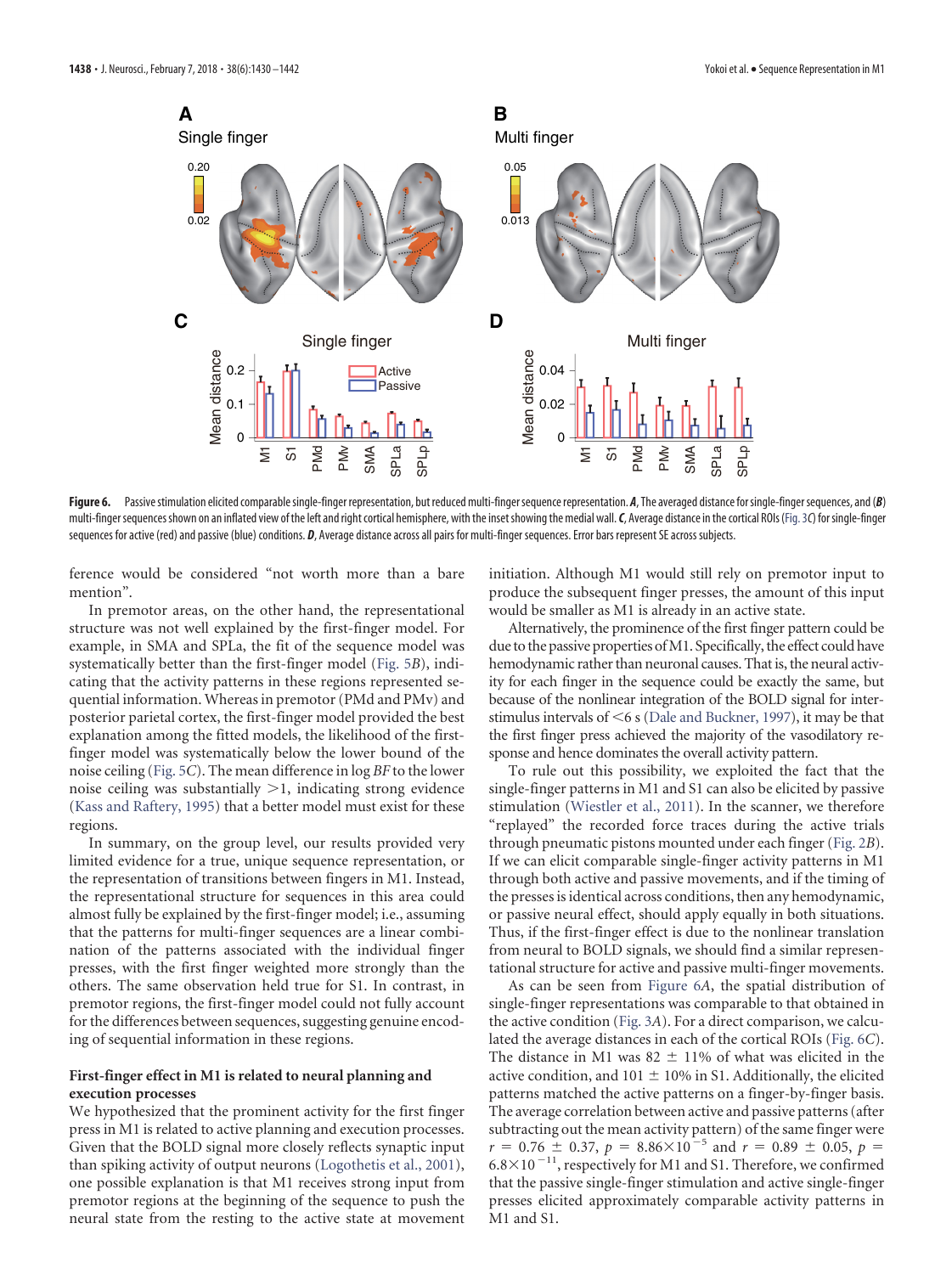

<span id="page-8-0"></span>Figure 6. Passive stimulation elicited comparable single-finger representation, but reduced multi-finger sequence representation. *A*, The averaged distance for single-finger sequences, and (*B*) multi-finger sequences shown on an inflated view of the left and right cortical hemisphere, with the inset showing the medial wall. C, Average distance in the cortical ROIs [\(Fig. 3](#page-3-0)C) for single-finger sequences for active (red) and passive (blue) conditions. *D*, Average distance across all pairs for multi-finger sequences. Error bars represent SE across subjects.

ference would be considered "not worth more than a bare mention".

In premotor areas, on the other hand, the representational structure was not well explained by the first-finger model. For example, in SMA and SPLa, the fit of the sequence model was systematically better than the first-finger model [\(Fig. 5](#page-5-0)*B*), indicating that the activity patterns in these regions represented sequential information. Whereas in premotor (PMd and PMv) and posterior parietal cortex, the first-finger model provided the best explanation among the fitted models, the likelihood of the firstfinger model was systematically below the lower bound of the noise ceiling [\(Fig. 5](#page-5-0)*C*). The mean difference in log *BF* to the lower noise ceiling was substantially 1, indicating strong evidence [\(Kass and Raftery, 1995\)](#page-12-14) that a better model must exist for these regions.

In summary, on the group level, our results provided very limited evidence for a true, unique sequence representation, or the representation of transitions between fingers in M1. Instead, the representational structure for sequences in this area could almost fully be explained by the first-finger model; i.e., assuming that the patterns for multi-finger sequences are a linear combination of the patterns associated with the individual finger presses, with the first finger weighted more strongly than the others. The same observation held true for S1. In contrast, in premotor regions, the first-finger model could not fully account for the differences between sequences, suggesting genuine encoding of sequential information in these regions.

## **First-finger effect in M1 is related to neural planning and execution processes**

We hypothesized that the prominent activity for the first finger press in M1 is related to active planning and execution processes. Given that the BOLD signal more closely reflects synaptic input than spiking activity of output neurons [\(Logothetis et al., 2001\)](#page-12-18), one possible explanation is that M1 receives strong input from premotor regions at the beginning of the sequence to push the neural state from the resting to the active state at movement initiation. Although M1 would still rely on premotor input to produce the subsequent finger presses, the amount of this input would be smaller as M1 is already in an active state.

Alternatively, the prominence of the first finger pattern could be due to the passive properties of M1. Specifically, the effect could have hemodynamic rather than neuronal causes. That is, the neural activity for each finger in the sequence could be exactly the same, but because of the nonlinear integration of the BOLD signal for interstimulus intervals of  $<$  6s [\(Dale and Buckner, 1997\)](#page-11-14), it may be that the first finger press achieved the majority of the vasodilatory response and hence dominates the overall activity pattern.

To rule out this possibility, we exploited the fact that the single-finger patterns in M1 and S1 can also be elicited by passive stimulation [\(Wiestler et al., 2011\)](#page-12-17). In the scanner, we therefore "replayed" the recorded force traces during the active trials through pneumatic pistons mounted under each finger [\(Fig. 2](#page-2-0)*B*). If we can elicit comparable single-finger activity patterns in M1 through both active and passive movements, and if the timing of the presses is identical across conditions, then any hemodynamic, or passive neural effect, should apply equally in both situations. Thus, if the first-finger effect is due to the nonlinear translation from neural to BOLD signals, we should find a similar representational structure for active and passive multi-finger movements.

As can be seen from [Figure 6](#page-8-0)*A*, the spatial distribution of single-finger representations was comparable to that obtained in the active condition [\(Fig. 3](#page-3-0)*A*). For a direct comparison, we calculated the average distances in each of the cortical ROIs [\(Fig. 6](#page-8-0)*C*). The distance in M1 was  $82 \pm 11\%$  of what was elicited in the active condition, and  $101 \pm 10\%$  in S1. Additionally, the elicited patterns matched the active patterns on a finger-by-finger basis. The average correlation between active and passive patterns (after subtracting out the mean activity pattern) of the same finger were  $r = 0.76 \pm 0.37$ ,  $p = 8.86 \times 10^{-5}$  and  $r = 0.89 \pm 0.05$ ,  $p =$  $6.8\times10^{-11}$ , respectively for M1 and S1. Therefore, we confirmed that the passive single-finger stimulation and active single-finger presses elicited approximately comparable activity patterns in M1 and S1.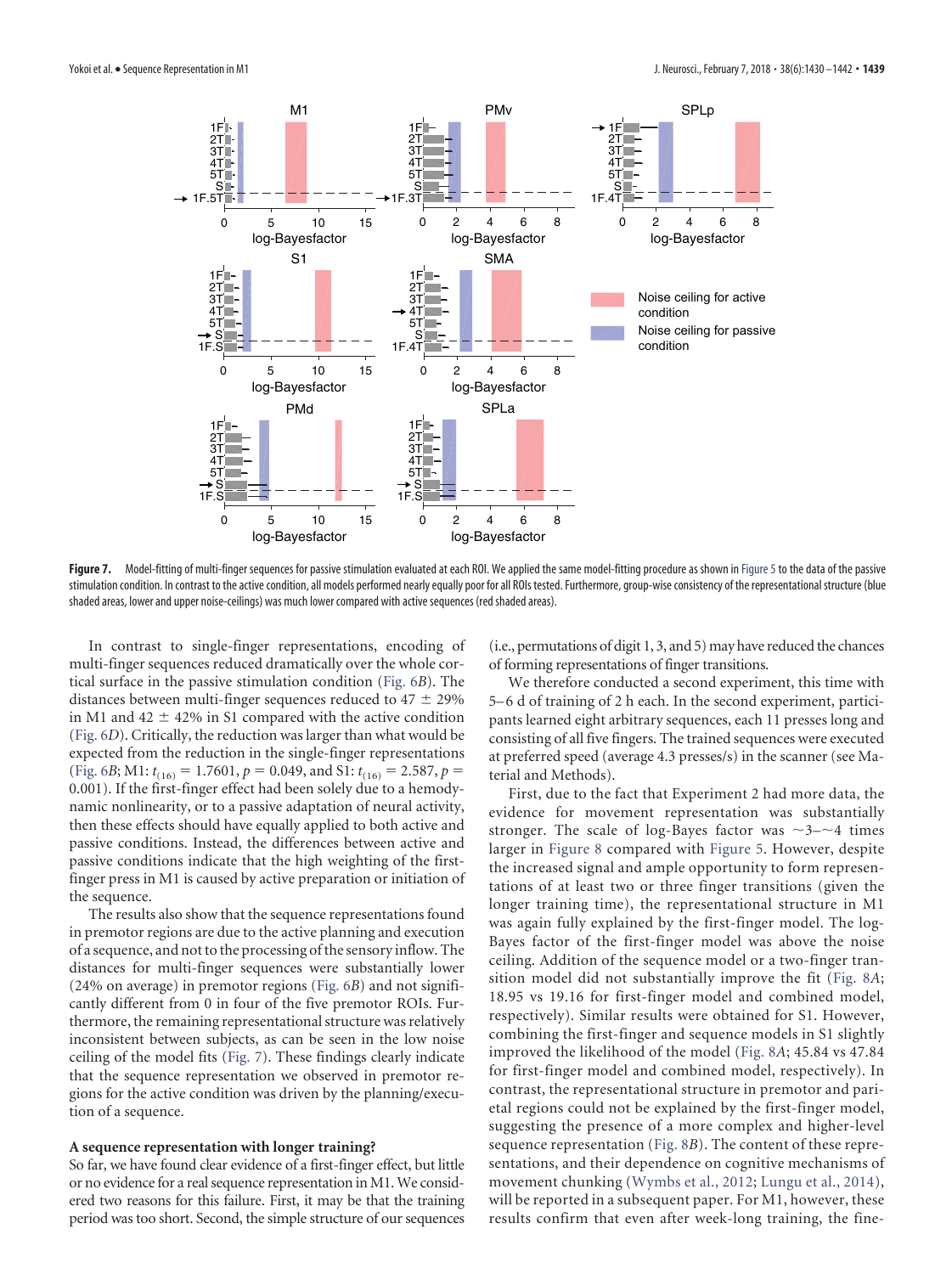

<span id="page-9-0"></span>Figure 7. Model-fitting of multi-finger sequences for passive stimulation evaluated at each ROI. We applied the same model-fitting procedure as shown in [Figure 5](#page-5-0) to the data of the passive stimulation condition. In contrast to the active condition, all models performed nearly equally poor for all ROIs tested. Furthermore, group-wise consistency of the representational structure (blue shaded areas, lower and upper noise-ceilings) was much lower compared with active sequences (red shaded areas).

In contrast to single-finger representations, encoding of multi-finger sequences reduced dramatically over the whole cortical surface in the passive stimulation condition [\(Fig. 6](#page-8-0)*B*). The distances between multi-finger sequences reduced to 47  $\pm$  29% in M1 and  $42 \pm 42\%$  in S1 compared with the active condition [\(Fig. 6](#page-8-0)*D*). Critically, the reduction was larger than what would be expected from the reduction in the single-finger representations [\(Fig. 6](#page-8-0)*B*; M1:  $t_{(16)} = 1.7601$ ,  $p = 0.049$ , and S1:  $t_{(16)} = 2.587$ ,  $p =$ 0.001). If the first-finger effect had been solely due to a hemodynamic nonlinearity, or to a passive adaptation of neural activity, then these effects should have equally applied to both active and passive conditions. Instead, the differences between active and passive conditions indicate that the high weighting of the firstfinger press in M1 is caused by active preparation or initiation of the sequence.

The results also show that the sequence representations found in premotor regions are due to the active planning and execution of a sequence, and not to the processing of the sensory inflow. The distances for multi-finger sequences were substantially lower (24% on average) in premotor regions [\(Fig. 6](#page-8-0)*B*) and not significantly different from 0 in four of the five premotor ROIs. Furthermore, the remaining representational structure was relatively inconsistent between subjects, as can be seen in the low noise ceiling of the model fits [\(Fig. 7\)](#page-9-0). These findings clearly indicate that the sequence representation we observed in premotor regions for the active condition was driven by the planning/execution of a sequence.

#### **A sequence representation with longer training?**

So far, we have found clear evidence of a first-finger effect, but little or no evidence for a real sequence representation in M1.We considered two reasons for this failure. First, it may be that the training period was too short. Second, the simple structure of our sequences

(i.e., permutations of digit 1, 3, and 5) may have reduced the chances of forming representations of finger transitions.

We therefore conducted a second experiment, this time with 5–6 d of training of 2 h each. In the second experiment, participants learned eight arbitrary sequences, each 11 presses long and consisting of all five fingers. The trained sequences were executed at preferred speed (average 4.3 presses/s) in the scanner (see Material and Methods).

First, due to the fact that Experiment 2 had more data, the evidence for movement representation was substantially stronger. The scale of log-Bayes factor was  $\sim$ 3- $\sim$ 4 times larger in [Figure 8](#page-10-0) compared with [Figure 5.](#page-5-0) However, despite the increased signal and ample opportunity to form representations of at least two or three finger transitions (given the longer training time), the representational structure in M1 was again fully explained by the first-finger model. The log-Bayes factor of the first-finger model was above the noise ceiling. Addition of the sequence model or a two-finger transition model did not substantially improve the fit [\(Fig. 8](#page-10-0)*A*; 18.95 vs 19.16 for first-finger model and combined model, respectively). Similar results were obtained for S1. However, combining the first-finger and sequence models in S1 slightly improved the likelihood of the model [\(Fig. 8](#page-10-0)*A*; 45.84 vs 47.84 for first-finger model and combined model, respectively). In contrast, the representational structure in premotor and parietal regions could not be explained by the first-finger model, suggesting the presence of a more complex and higher-level sequence representation [\(Fig. 8](#page-10-0)*B*). The content of these representations, and their dependence on cognitive mechanisms of movement chunking [\(Wymbs et al., 2012;](#page-12-19) [Lungu et al., 2014\)](#page-12-20), will be reported in a subsequent paper. For M1, however, these results confirm that even after week-long training, the fine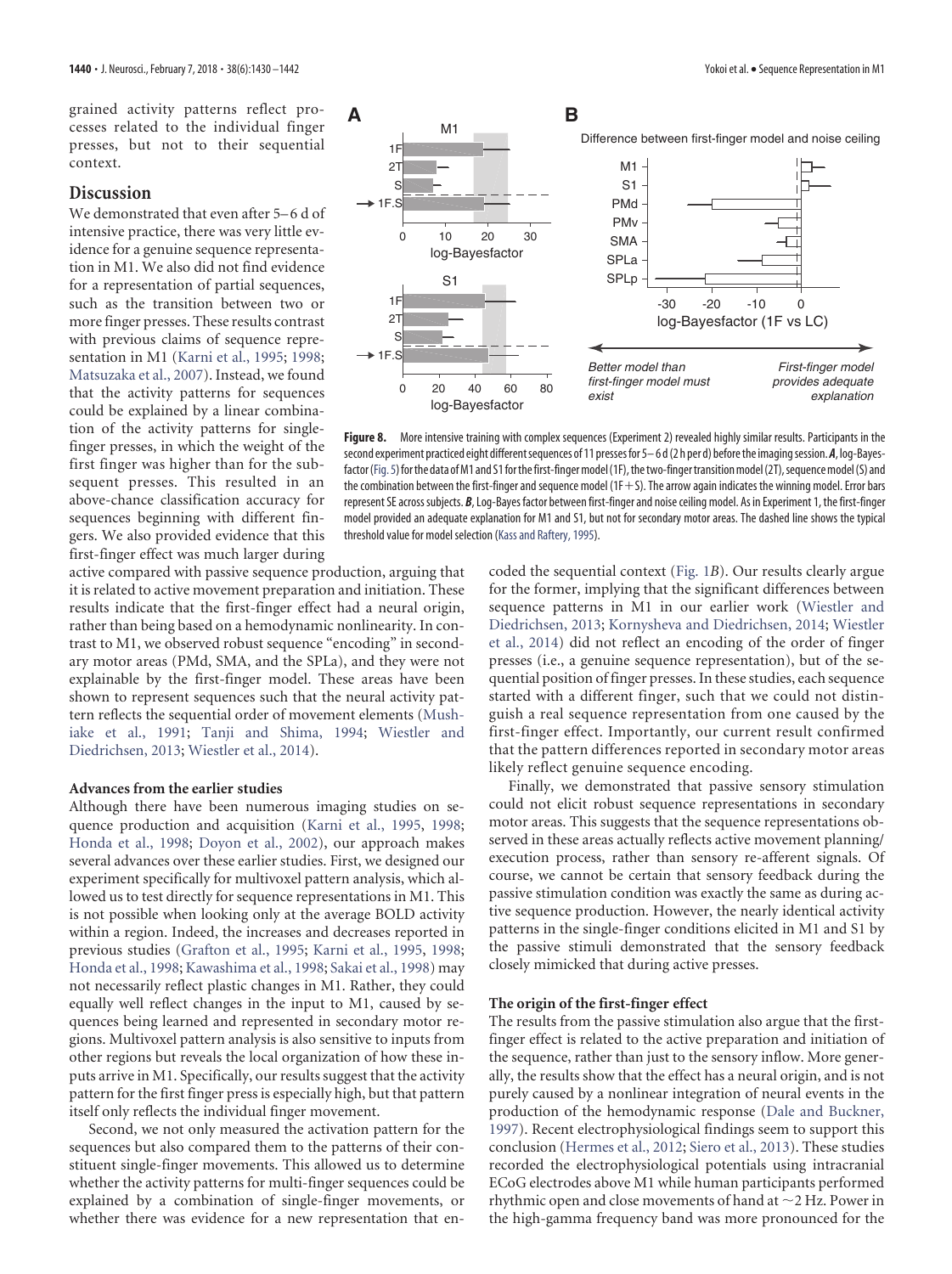grained activity patterns reflect processes related to the individual finger presses, but not to their sequential context.

# **Discussion**

We demonstrated that even after 5–6 d of intensive practice, there was very little evidence for a genuine sequence representation in M1. We also did not find evidence for a representation of partial sequences, such as the transition between two or more finger presses. These results contrast with previous claims of sequence representation in M1 [\(Karni et al., 1995;](#page-12-6) [1998;](#page-12-21) [Matsuzaka et al., 2007\)](#page-12-22). Instead, we found that the activity patterns for sequences could be explained by a linear combination of the activity patterns for singlefinger presses, in which the weight of the first finger was higher than for the subsequent presses. This resulted in an above-chance classification accuracy for sequences beginning with different fingers. We also provided evidence that this first-finger effect was much larger during



<span id="page-10-0"></span>**Figure 8.** More intensive training with complex sequences (Experiment 2) revealed highly similar results. Participants in the second experiment practiced eight different sequences of 11 presses for 5–6 d (2 h per d) before the imaging session. A, log-Bayes-factor [\(Fig. 5\)](#page-5-0) for the data of M1 and S1 for the first-finger model (1F), the two-finger transition model (2T), sequence model (S) and the combination between the first-finger and sequence model (1F $+$ S). The arrow again indicates the winning model. Error bars represent SE acrosssubjects. *B*, Log-Bayes factor between first-finger and noise ceiling model. As in Experiment 1, the first-finger model provided an adequate explanation for M1 and S1, but not for secondary motor areas. The dashed line shows the typical threshold value for model selection [\(Kass and Raftery, 1995\)](#page-12-14).

active compared with passive sequence production, arguing that it is related to active movement preparation and initiation. These results indicate that the first-finger effect had a neural origin, rather than being based on a hemodynamic nonlinearity. In contrast to M1, we observed robust sequence "encoding" in secondary motor areas (PMd, SMA, and the SPLa), and they were not explainable by the first-finger model. These areas have been shown to represent sequences such that the neural activity pattern reflects the sequential order of movement elements [\(Mush](#page-12-7)[iake et al., 1991;](#page-12-7) [Tanji and Shima, 1994;](#page-12-23) [Wiestler and](#page-12-9) [Diedrichsen, 2013;](#page-12-9) [Wiestler et al., 2014\)](#page-12-11).

#### **Advances from the earlier studies**

Although there have been numerous imaging studies on sequence production and acquisition [\(Karni et al., 1995,](#page-12-6) [1998;](#page-12-21) [Honda et al., 1998;](#page-11-15) [Doyon et al., 2002\)](#page-11-16), our approach makes several advances over these earlier studies. First, we designed our experiment specifically for multivoxel pattern analysis, which allowed us to test directly for sequence representations in M1. This is not possible when looking only at the average BOLD activity within a region. Indeed, the increases and decreases reported in previous studies [\(Grafton et al., 1995;](#page-11-17) [Karni et al., 1995,](#page-12-6) [1998;](#page-12-21) [Honda et al., 1998;](#page-11-15) [Kawashima et al., 1998;](#page-12-24) [Sakai et al., 1998\)](#page-12-25) may not necessarily reflect plastic changes in M1. Rather, they could equally well reflect changes in the input to M1, caused by sequences being learned and represented in secondary motor regions. Multivoxel pattern analysis is also sensitive to inputs from other regions but reveals the local organization of how these inputs arrive in M1. Specifically, our results suggest that the activity pattern for the first finger press is especially high, but that pattern itself only reflects the individual finger movement.

Second, we not only measured the activation pattern for the sequences but also compared them to the patterns of their constituent single-finger movements. This allowed us to determine whether the activity patterns for multi-finger sequences could be explained by a combination of single-finger movements, or whether there was evidence for a new representation that encoded the sequential context [\(Fig. 1](#page-1-0)*B*). Our results clearly argue for the former, implying that the significant differences between sequence patterns in M1 in our earlier work [\(Wiestler and](#page-12-9) [Diedrichsen, 2013;](#page-12-9) [Kornysheva and Diedrichsen, 2014;](#page-12-10) [Wiestler](#page-12-11) [et al., 2014\)](#page-12-11) did not reflect an encoding of the order of finger presses (i.e., a genuine sequence representation), but of the sequential position of finger presses. In these studies, each sequence started with a different finger, such that we could not distinguish a real sequence representation from one caused by the first-finger effect. Importantly, our current result confirmed that the pattern differences reported in secondary motor areas likely reflect genuine sequence encoding.

Finally, we demonstrated that passive sensory stimulation could not elicit robust sequence representations in secondary motor areas. This suggests that the sequence representations observed in these areas actually reflects active movement planning/ execution process, rather than sensory re-afferent signals. Of course, we cannot be certain that sensory feedback during the passive stimulation condition was exactly the same as during active sequence production. However, the nearly identical activity patterns in the single-finger conditions elicited in M1 and S1 by the passive stimuli demonstrated that the sensory feedback closely mimicked that during active presses.

## **The origin of the first-finger effect**

The results from the passive stimulation also argue that the firstfinger effect is related to the active preparation and initiation of the sequence, rather than just to the sensory inflow. More generally, the results show that the effect has a neural origin, and is not purely caused by a nonlinear integration of neural events in the production of the hemodynamic response [\(Dale and Buckner,](#page-11-14) [1997\)](#page-11-14). Recent electrophysiological findings seem to support this conclusion [\(Hermes et al., 2012;](#page-11-18) [Siero et al., 2013\)](#page-12-26). These studies recorded the electrophysiological potentials using intracranial ECoG electrodes above M1 while human participants performed rhythmic open and close movements of hand at  $\sim$  2 Hz. Power in the high-gamma frequency band was more pronounced for the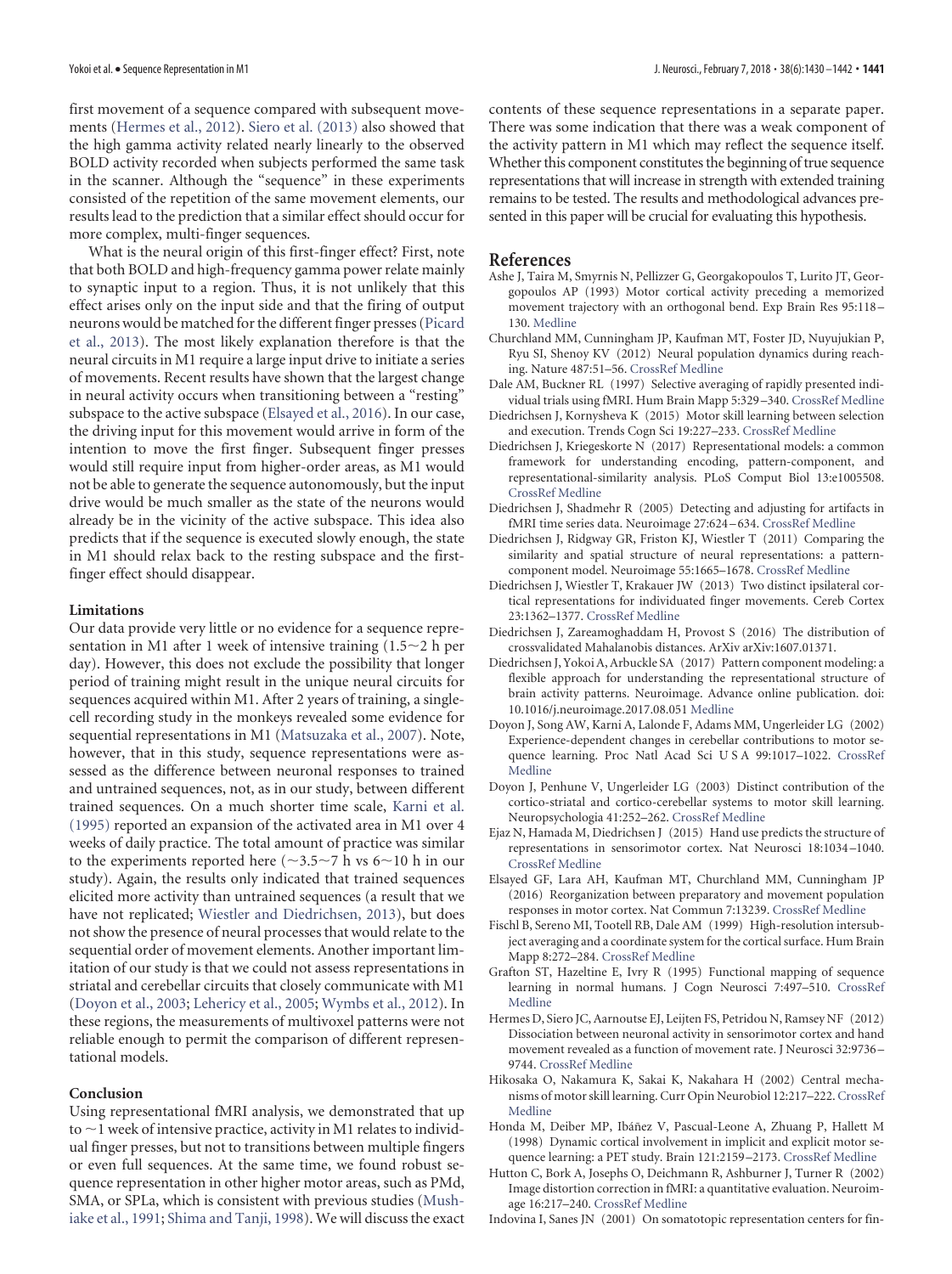first movement of a sequence compared with subsequent movements [\(Hermes et al., 2012\)](#page-11-18). [Siero et al. \(2013\)](#page-12-26) also showed that the high gamma activity related nearly linearly to the observed BOLD activity recorded when subjects performed the same task in the scanner. Although the "sequence" in these experiments consisted of the repetition of the same movement elements, our results lead to the prediction that a similar effect should occur for more complex, multi-finger sequences.

What is the neural origin of this first-finger effect? First, note that both BOLD and high-frequency gamma power relate mainly to synaptic input to a region. Thus, it is not unlikely that this effect arises only on the input side and that the firing of output neurons would be matched for the different finger presses [\(Picard](#page-12-3) [et al., 2013\)](#page-12-3). The most likely explanation therefore is that the neural circuits in M1 require a large input drive to initiate a series of movements. Recent results have shown that the largest change in neural activity occurs when transitioning between a "resting" subspace to the active subspace [\(Elsayed et al., 2016\)](#page-11-19). In our case, the driving input for this movement would arrive in form of the intention to move the first finger. Subsequent finger presses would still require input from higher-order areas, as M1 would not be able to generate the sequence autonomously, but the input drive would be much smaller as the state of the neurons would already be in the vicinity of the active subspace. This idea also predicts that if the sequence is executed slowly enough, the state in M1 should relax back to the resting subspace and the firstfinger effect should disappear.

## **Limitations**

Our data provide very little or no evidence for a sequence representation in M1 after 1 week of intensive training  $(1.5 \sim 2$  h per day). However, this does not exclude the possibility that longer period of training might result in the unique neural circuits for sequences acquired within M1. After 2 years of training, a singlecell recording study in the monkeys revealed some evidence for sequential representations in M1 [\(Matsuzaka et al., 2007\)](#page-12-22). Note, however, that in this study, sequence representations were assessed as the difference between neuronal responses to trained and untrained sequences, not, as in our study, between different trained sequences. On a much shorter time scale, [Karni et al.](#page-12-6) [\(1995\)](#page-12-6) reported an expansion of the activated area in M1 over 4 weeks of daily practice. The total amount of practice was similar to the experiments reported here ( $\sim$ 3.5 $\sim$ 7 h vs 6 $\sim$ 10 h in our study). Again, the results only indicated that trained sequences elicited more activity than untrained sequences (a result that we have not replicated; [Wiestler and Diedrichsen, 2013\)](#page-12-9), but does not show the presence of neural processes that would relate to the sequential order of movement elements. Another important limitation of our study is that we could not assess representations in striatal and cerebellar circuits that closely communicate with M1 [\(Doyon et al., 2003;](#page-11-20) [Lehericy et al., 2005;](#page-12-27) [Wymbs et al., 2012\)](#page-12-19). In these regions, the measurements of multivoxel patterns were not reliable enough to permit the comparison of different representational models.

# **Conclusion**

Using representational fMRI analysis, we demonstrated that up to  $\sim$  1 week of intensive practice, activity in M1 relates to individual finger presses, but not to transitions between multiple fingers or even full sequences. At the same time, we found robust sequence representation in other higher motor areas, such as PMd, SMA, or SPLa, which is consistent with previous studies [\(Mush](#page-12-7)[iake et al., 1991;](#page-12-7) [Shima and Tanji, 1998\)](#page-12-8). We will discuss the exact

contents of these sequence representations in a separate paper. There was some indication that there was a weak component of the activity pattern in M1 which may reflect the sequence itself. Whether this component constitutes the beginning of true sequence representations that will increase in strength with extended training remains to be tested. The results and methodological advances presented in this paper will be crucial for evaluating this hypothesis.

# **References**

- <span id="page-11-3"></span>Ashe J, Taira M, Smyrnis N, Pellizzer G, Georgakopoulos T, Lurito JT, Georgopoulos AP (1993) Motor cortical activity preceding a memorized movement trajectory with an orthogonal bend. Exp Brain Res 95:118 – 130. [Medline](http://www.ncbi.nlm.nih.gov/pubmed/8405244)
- <span id="page-11-2"></span>Churchland MM, Cunningham JP, Kaufman MT, Foster JD, Nuyujukian P, Ryu SI, Shenoy KV (2012) Neural population dynamics during reaching. Nature 487:51–56. [CrossRef](http://dx.doi.org/10.1038/nature11129) [Medline](http://www.ncbi.nlm.nih.gov/pubmed/22722855)
- <span id="page-11-14"></span>Dale AM, Buckner RL (1997) Selective averaging of rapidly presented individual trials using fMRI. Hum Brain Mapp 5:329 –340. [CrossRef](http://dx.doi.org/10.1002/(SICI)1097-0193(1997)5:5%3C329::AID-HBM1%3E3.0.CO;2-5) [Medline](http://www.ncbi.nlm.nih.gov/pubmed/20408237)
- <span id="page-11-5"></span>Diedrichsen J, Kornysheva K (2015) Motor skill learning between selection and execution. Trends Cogn Sci 19:227–233. [CrossRef](http://dx.doi.org/10.1016/j.tics.2015.02.003) [Medline](http://www.ncbi.nlm.nih.gov/pubmed/25746123)
- <span id="page-11-10"></span>Diedrichsen J, Kriegeskorte N (2017) Representational models: a common framework for understanding encoding, pattern-component, and representational-similarity analysis. PLoS Comput Biol 13:e1005508. [CrossRef](http://dx.doi.org/10.1371/journal.pcbi.1005508) [Medline](http://www.ncbi.nlm.nih.gov/pubmed/28437426)
- <span id="page-11-7"></span>Diedrichsen J, Shadmehr R (2005) Detecting and adjusting for artifacts in fMRI time series data. Neuroimage 27:624 –634. [CrossRef](http://dx.doi.org/10.1016/j.neuroimage.2005.04.039) [Medline](http://www.ncbi.nlm.nih.gov/pubmed/15975828)
- <span id="page-11-11"></span>Diedrichsen J, Ridgway GR, Friston KJ, Wiestler T (2011) Comparing the similarity and spatial structure of neural representations: a patterncomponent model. Neuroimage 55:1665–1678. [CrossRef](http://dx.doi.org/10.1016/j.neuroimage.2011.01.044) [Medline](http://www.ncbi.nlm.nih.gov/pubmed/21256225)
- <span id="page-11-13"></span>Diedrichsen J, Wiestler T, Krakauer JW (2013) Two distinct ipsilateral cortical representations for individuated finger movements. Cereb Cortex 23:1362–1377. [CrossRef](http://dx.doi.org/10.1093/cercor/bhs120) [Medline](http://www.ncbi.nlm.nih.gov/pubmed/22610393)
- <span id="page-11-9"></span>Diedrichsen J, Zareamoghaddam H, Provost S (2016) The distribution of crossvalidated Mahalanobis distances. ArXiv arXiv:1607.01371.
- <span id="page-11-12"></span>Diedrichsen J, Yokoi A, Arbuckle SA (2017) Pattern component modeling: a flexible approach for understanding the representational structure of brain activity patterns. Neuroimage. Advance online publication. doi: 10.1016/j.neuroimage.2017.08.051 [Medline](http://www.ncbi.nlm.nih.gov/pubmed/28843540)
- <span id="page-11-16"></span>Doyon J, Song AW, Karni A, Lalonde F, Adams MM, Ungerleider LG (2002) Experience-dependent changes in cerebellar contributions to motor sequence learning. Proc Natl Acad Sci U S A 99:1017–1022. [CrossRef](http://dx.doi.org/10.1073/pnas.022615199) [Medline](http://www.ncbi.nlm.nih.gov/pubmed/11805340)
- <span id="page-11-20"></span>Doyon J, Penhune V, Ungerleider LG (2003) Distinct contribution of the cortico-striatal and cortico-cerebellar systems to motor skill learning. Neuropsychologia 41:252–262. [CrossRef](http://dx.doi.org/10.1016/S0028-3932(02)00158-6) [Medline](http://www.ncbi.nlm.nih.gov/pubmed/12457751)
- <span id="page-11-1"></span>Ejaz N, Hamada M, Diedrichsen J (2015) Hand use predicts the structure of representations in sensorimotor cortex. Nat Neurosci 18:1034 –1040. [CrossRef](http://dx.doi.org/10.1038/nn.4038) [Medline](http://www.ncbi.nlm.nih.gov/pubmed/26030847)
- <span id="page-11-19"></span>Elsayed GF, Lara AH, Kaufman MT, Churchland MM, Cunningham JP (2016) Reorganization between preparatory and movement population responses in motor cortex. Nat Commun 7:13239. [CrossRef](http://dx.doi.org/10.1038/ncomms13239) [Medline](http://www.ncbi.nlm.nih.gov/pubmed/27807345)
- <span id="page-11-8"></span>Fischl B, Sereno MI, Tootell RB, Dale AM (1999) High-resolution intersubject averaging and a coordinate system for the cortical surface. Hum Brain Mapp 8:272–284. [CrossRef](http://dx.doi.org/10.1002/(SICI)1097-0193(1999)8:4%3C272::AID-HBM10%3E3.0.CO;2-4) [Medline](http://www.ncbi.nlm.nih.gov/pubmed/10619420)
- <span id="page-11-17"></span>Grafton ST, Hazeltine E, Ivry R (1995) Functional mapping of sequence learning in normal humans. J Cogn Neurosci 7:497–510. [CrossRef](http://dx.doi.org/10.1162/jocn.1995.7.4.497) [Medline](http://www.ncbi.nlm.nih.gov/pubmed/23961907)
- <span id="page-11-18"></span>Hermes D, Siero JC, Aarnoutse EJ, Leijten FS, Petridou N, Ramsey NF (2012) Dissociation between neuronal activity in sensorimotor cortex and hand movement revealed as a function of movement rate. J Neurosci 32:9736 – 9744. [CrossRef](http://dx.doi.org/10.1523/JNEUROSCI.0357-12.2012) [Medline](http://www.ncbi.nlm.nih.gov/pubmed/22787059)
- <span id="page-11-4"></span>Hikosaka O, Nakamura K, Sakai K, Nakahara H (2002) Central mechanisms of motor skill learning. Curr Opin Neurobiol 12:217–222. [CrossRef](http://dx.doi.org/10.1016/S0959-4388(02)00307-0) [Medline](http://www.ncbi.nlm.nih.gov/pubmed/12015240)
- <span id="page-11-15"></span>Honda M, Deiber MP, Ibáñez V, Pascual-Leone A, Zhuang P, Hallett M (1998) Dynamic cortical involvement in implicit and explicit motor sequence learning: a PET study. Brain 121:2159 –2173. [CrossRef](http://dx.doi.org/10.1093/brain/121.11.2159) [Medline](http://www.ncbi.nlm.nih.gov/pubmed/9827775)
- <span id="page-11-6"></span>Hutton C, Bork A, Josephs O, Deichmann R, Ashburner J, Turner R (2002) Image distortion correction in fMRI: a quantitative evaluation. Neuroimage 16:217–240. [CrossRef](http://dx.doi.org/10.1006/nimg.2001.1054) [Medline](http://www.ncbi.nlm.nih.gov/pubmed/11969330)
- <span id="page-11-0"></span>Indovina I, Sanes JN (2001) On somatotopic representation centers for fin-